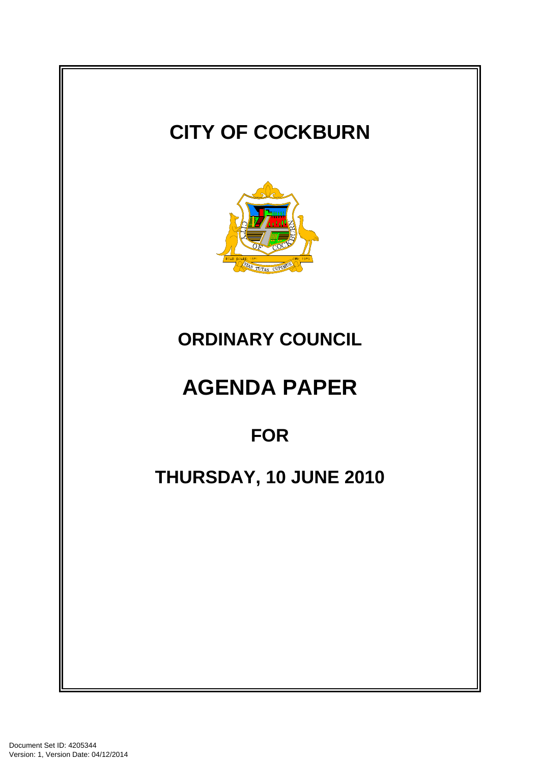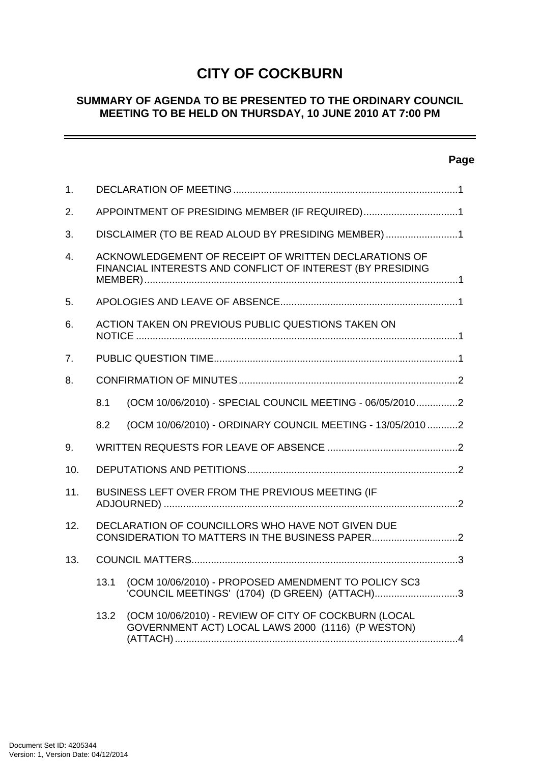# **CITY OF COCKBURN**

## **SUMMARY OF AGENDA TO BE PRESENTED TO THE ORDINARY COUNCIL MEETING TO BE HELD ON THURSDAY, 10 JUNE 2010 AT 7:00 PM**

## **Page**

| 1.               |                                                                                                                     |                                                                                                           |  |
|------------------|---------------------------------------------------------------------------------------------------------------------|-----------------------------------------------------------------------------------------------------------|--|
| 2.               | APPOINTMENT OF PRESIDING MEMBER (IF REQUIRED)1                                                                      |                                                                                                           |  |
| 3.               | DISCLAIMER (TO BE READ ALOUD BY PRESIDING MEMBER) 1                                                                 |                                                                                                           |  |
| $\overline{4}$ . | ACKNOWLEDGEMENT OF RECEIPT OF WRITTEN DECLARATIONS OF<br>FINANCIAL INTERESTS AND CONFLICT OF INTEREST (BY PRESIDING |                                                                                                           |  |
| 5.               |                                                                                                                     |                                                                                                           |  |
| 6.               |                                                                                                                     | ACTION TAKEN ON PREVIOUS PUBLIC QUESTIONS TAKEN ON                                                        |  |
| 7.               |                                                                                                                     |                                                                                                           |  |
| 8.               |                                                                                                                     |                                                                                                           |  |
|                  | 8.1                                                                                                                 | (OCM 10/06/2010) - SPECIAL COUNCIL MEETING - 06/05/20102                                                  |  |
|                  | 8.2                                                                                                                 | (OCM 10/06/2010) - ORDINARY COUNCIL MEETING - 13/05/20102                                                 |  |
| 9.               |                                                                                                                     |                                                                                                           |  |
| 10.              |                                                                                                                     |                                                                                                           |  |
| 11.              |                                                                                                                     | BUSINESS LEFT OVER FROM THE PREVIOUS MEETING (IF                                                          |  |
| 12.              |                                                                                                                     | DECLARATION OF COUNCILLORS WHO HAVE NOT GIVEN DUE                                                         |  |
| 13.              |                                                                                                                     |                                                                                                           |  |
|                  | 13.1                                                                                                                | (OCM 10/06/2010) - PROPOSED AMENDMENT TO POLICY SC3<br>'COUNCIL MEETINGS' (1704) (D GREEN) (ATTACH)3      |  |
|                  | 13.2                                                                                                                | (OCM 10/06/2010) - REVIEW OF CITY OF COCKBURN (LOCAL<br>GOVERNMENT ACT) LOCAL LAWS 2000 (1116) (P WESTON) |  |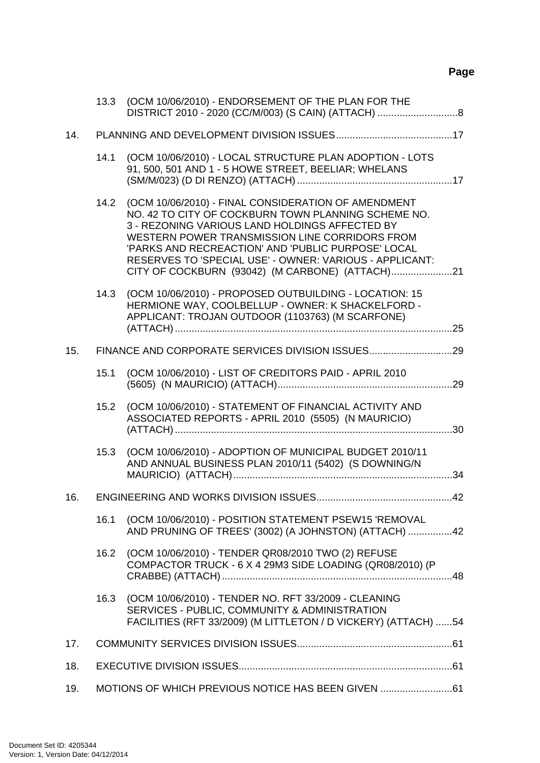# **Page**

|     |                                                 | 13.3 (OCM 10/06/2010) - ENDORSEMENT OF THE PLAN FOR THE                                                                                                                                                                                                                                                                              |  |
|-----|-------------------------------------------------|--------------------------------------------------------------------------------------------------------------------------------------------------------------------------------------------------------------------------------------------------------------------------------------------------------------------------------------|--|
| 14. |                                                 |                                                                                                                                                                                                                                                                                                                                      |  |
|     | 14.1                                            | (OCM 10/06/2010) - LOCAL STRUCTURE PLAN ADOPTION - LOTS<br>91, 500, 501 AND 1 - 5 HOWE STREET, BEELIAR; WHELANS                                                                                                                                                                                                                      |  |
|     |                                                 | 14.2 (OCM 10/06/2010) - FINAL CONSIDERATION OF AMENDMENT<br>NO. 42 TO CITY OF COCKBURN TOWN PLANNING SCHEME NO.<br>3 - REZONING VARIOUS LAND HOLDINGS AFFECTED BY<br>WESTERN POWER TRANSMISSION LINE CORRIDORS FROM<br>'PARKS AND RECREACTION' AND 'PUBLIC PURPOSE' LOCAL<br>RESERVES TO 'SPECIAL USE' - OWNER: VARIOUS - APPLICANT: |  |
|     | 14.3                                            | (OCM 10/06/2010) - PROPOSED OUTBUILDING - LOCATION: 15<br>HERMIONE WAY, COOLBELLUP - OWNER: K SHACKELFORD -<br>APPLICANT: TROJAN OUTDOOR (1103763) (M SCARFONE)                                                                                                                                                                      |  |
| 15. |                                                 |                                                                                                                                                                                                                                                                                                                                      |  |
|     | 15.1                                            | (OCM 10/06/2010) - LIST OF CREDITORS PAID - APRIL 2010                                                                                                                                                                                                                                                                               |  |
|     | 15.2                                            | (OCM 10/06/2010) - STATEMENT OF FINANCIAL ACTIVITY AND<br>ASSOCIATED REPORTS - APRIL 2010 (5505) (N MAURICIO)                                                                                                                                                                                                                        |  |
|     | 15.3                                            | (OCM 10/06/2010) - ADOPTION OF MUNICIPAL BUDGET 2010/11<br>AND ANNUAL BUSINESS PLAN 2010/11 (5402) (S DOWNING/N                                                                                                                                                                                                                      |  |
| 16. |                                                 | ENGINEERING AND WORKS DIVISION ISSUES.<br>42                                                                                                                                                                                                                                                                                         |  |
|     | 16.1                                            | (OCM 10/06/2010) - POSITION STATEMENT PSEW15 'REMOVAL<br>AND PRUNING OF TREES' (3002) (A JOHNSTON) (ATTACH) 42                                                                                                                                                                                                                       |  |
|     | 16.2                                            | (OCM 10/06/2010) - TENDER QR08/2010 TWO (2) REFUSE<br>COMPACTOR TRUCK - 6 X 4 29M3 SIDE LOADING (QR08/2010) (P                                                                                                                                                                                                                       |  |
|     |                                                 | 16.3 (OCM 10/06/2010) - TENDER NO. RFT 33/2009 - CLEANING<br>SERVICES - PUBLIC, COMMUNITY & ADMINISTRATION<br>FACILITIES (RFT 33/2009) (M LITTLETON / D VICKERY) (ATTACH) 54                                                                                                                                                         |  |
| 17. |                                                 |                                                                                                                                                                                                                                                                                                                                      |  |
| 18. |                                                 |                                                                                                                                                                                                                                                                                                                                      |  |
| 19. | MOTIONS OF WHICH PREVIOUS NOTICE HAS BEEN GIVEN |                                                                                                                                                                                                                                                                                                                                      |  |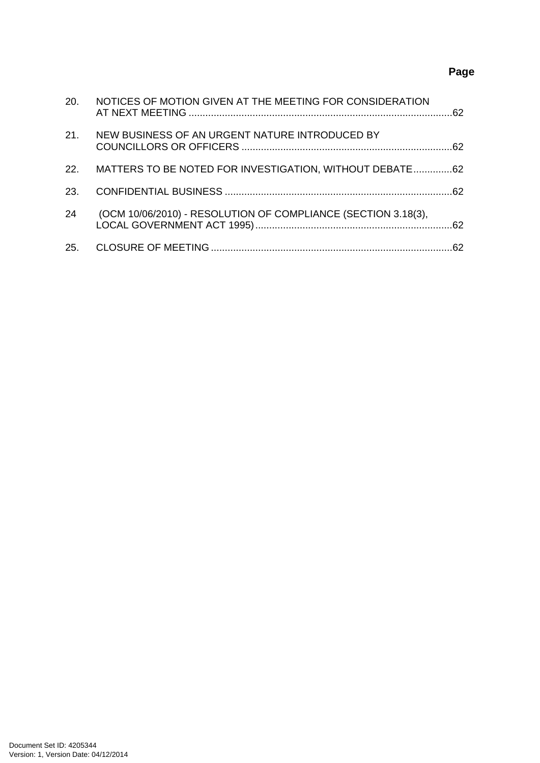# **Page**

| 20. | NOTICES OF MOTION GIVEN AT THE MEETING FOR CONSIDERATION      |    |
|-----|---------------------------------------------------------------|----|
| 21. | NEW BUSINESS OF AN URGENT NATURE INTRODUCED BY                |    |
| 22. | MATTERS TO BE NOTED FOR INVESTIGATION, WITHOUT DEBATE62       |    |
| 23. |                                                               |    |
| 24  | (OCM 10/06/2010) - RESOLUTION OF COMPLIANCE (SECTION 3.18(3), |    |
| 25. |                                                               | 62 |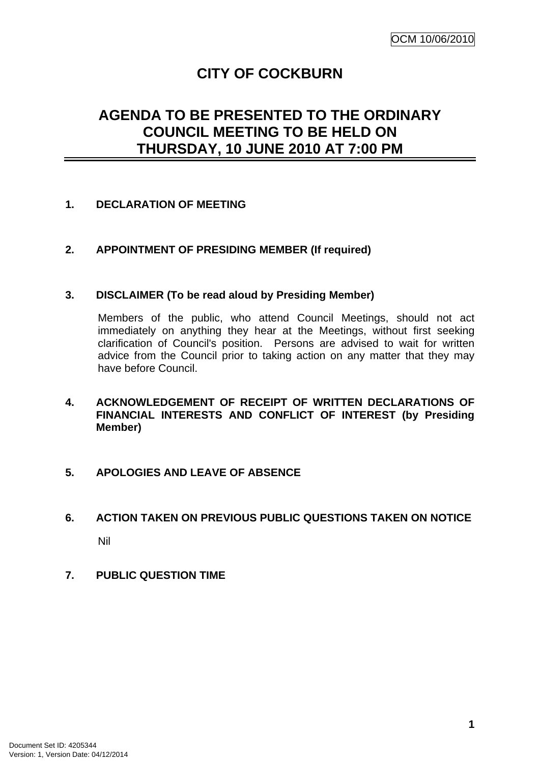# **CITY OF COCKBURN**

# <span id="page-4-0"></span>**AGENDA TO BE PRESENTED TO THE ORDINARY COUNCIL MEETING TO BE HELD ON THURSDAY, 10 JUNE 2010 AT 7:00 PM**

## **1. DECLARATION OF MEETING**

## **2. APPOINTMENT OF PRESIDING MEMBER (If required)**

#### **3. DISCLAIMER (To be read aloud by Presiding Member)**

Members of the public, who attend Council Meetings, should not act immediately on anything they hear at the Meetings, without first seeking clarification of Council's position. Persons are advised to wait for written advice from the Council prior to taking action on any matter that they may have before Council.

**4. ACKNOWLEDGEMENT OF RECEIPT OF WRITTEN DECLARATIONS OF FINANCIAL INTERESTS AND CONFLICT OF INTEREST (by Presiding Member)** 

#### **5. APOLOGIES AND LEAVE OF ABSENCE**

# **6. ACTION TAKEN ON PREVIOUS PUBLIC QUESTIONS TAKEN ON NOTICE**

Nil

**7. PUBLIC QUESTION TIME**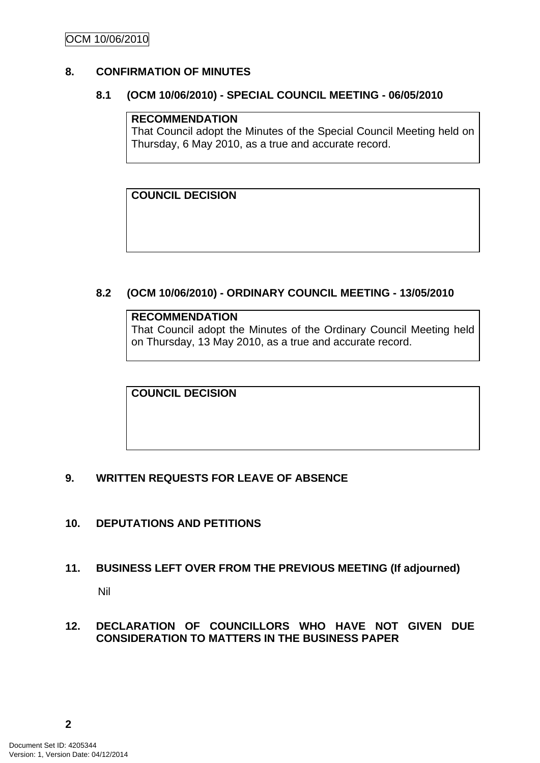## <span id="page-5-0"></span>**8. CONFIRMATION OF MINUTES**

#### **8.1 (OCM 10/06/2010) - SPECIAL COUNCIL MEETING - 06/05/2010**

## **RECOMMENDATION**

That Council adopt the Minutes of the Special Council Meeting held on Thursday, 6 May 2010, as a true and accurate record.

**COUNCIL DECISION** 

## **8.2 (OCM 10/06/2010) - ORDINARY COUNCIL MEETING - 13/05/2010**

#### **RECOMMENDATION**

That Council adopt the Minutes of the Ordinary Council Meeting held on Thursday, 13 May 2010, as a true and accurate record.

**COUNCIL DECISION** 

#### **9. WRITTEN REQUESTS FOR LEAVE OF ABSENCE**

- **10. DEPUTATIONS AND PETITIONS**
- **11. BUSINESS LEFT OVER FROM THE PREVIOUS MEETING (If adjourned)**

Nil

## **12. DECLARATION OF COUNCILLORS WHO HAVE NOT GIVEN DUE CONSIDERATION TO MATTERS IN THE BUSINESS PAPER**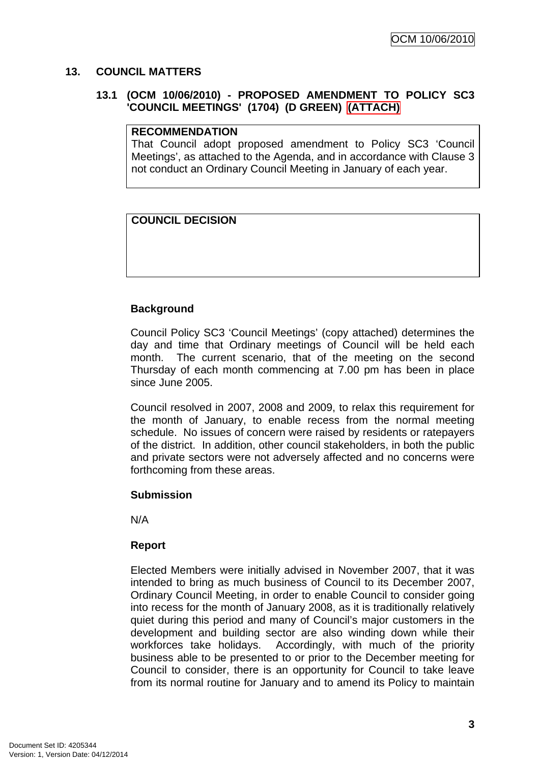#### <span id="page-6-0"></span>**13. COUNCIL MATTERS**

## **13.1 (OCM 10/06/2010) - PROPOSED AMENDMENT TO POLICY SC3 'COUNCIL MEETINGS' (1704) (D GREEN) (ATTACH)**

#### **RECOMMENDATION**

That Council adopt proposed amendment to Policy SC3 'Council Meetings', as attached to the Agenda, and in accordance with Clause 3 not conduct an Ordinary Council Meeting in January of each year.

#### **COUNCIL DECISION**

#### **Background**

Council Policy SC3 'Council Meetings' (copy attached) determines the day and time that Ordinary meetings of Council will be held each month. The current scenario, that of the meeting on the second Thursday of each month commencing at 7.00 pm has been in place since June 2005.

Council resolved in 2007, 2008 and 2009, to relax this requirement for the month of January, to enable recess from the normal meeting schedule. No issues of concern were raised by residents or ratepayers of the district. In addition, other council stakeholders, in both the public and private sectors were not adversely affected and no concerns were forthcoming from these areas.

#### **Submission**

N/A

#### **Report**

Elected Members were initially advised in November 2007, that it was intended to bring as much business of Council to its December 2007, Ordinary Council Meeting, in order to enable Council to consider going into recess for the month of January 2008, as it is traditionally relatively quiet during this period and many of Council's major customers in the development and building sector are also winding down while their workforces take holidays. Accordingly, with much of the priority business able to be presented to or prior to the December meeting for Council to consider, there is an opportunity for Council to take leave from its normal routine for January and to amend its Policy to maintain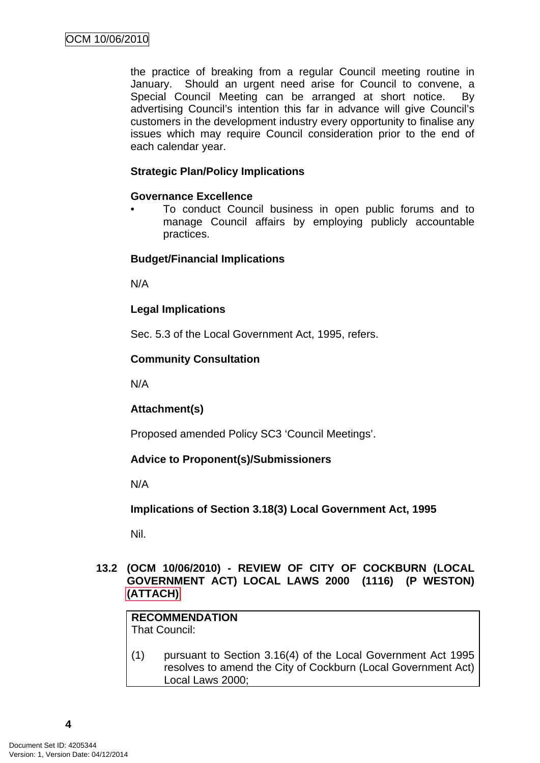<span id="page-7-0"></span>the practice of breaking from a regular Council meeting routine in January. Should an urgent need arise for Council to convene, a Special Council Meeting can be arranged at short notice. By advertising Council's intention this far in advance will give Council's customers in the development industry every opportunity to finalise any issues which may require Council consideration prior to the end of each calendar year.

## **Strategic Plan/Policy Implications**

## **Governance Excellence**

• To conduct Council business in open public forums and to manage Council affairs by employing publicly accountable practices.

## **Budget/Financial Implications**

N/A

## **Legal Implications**

Sec. 5.3 of the Local Government Act, 1995, refers.

## **Community Consultation**

N/A

## **Attachment(s)**

Proposed amended Policy SC3 'Council Meetings'.

## **Advice to Proponent(s)/Submissioners**

N/A

**Implications of Section 3.18(3) Local Government Act, 1995**

Nil.

## **13.2 (OCM 10/06/2010) - REVIEW OF CITY OF COCKBURN (LOCAL GOVERNMENT ACT) LOCAL LAWS 2000 (1116) (P WESTON) (ATTACH)**

#### **RECOMMENDATION** That Council:

(1) pursuant to Section 3.16(4) of the Local Government Act 1995 resolves to amend the City of Cockburn (Local Government Act) Local Laws 2000;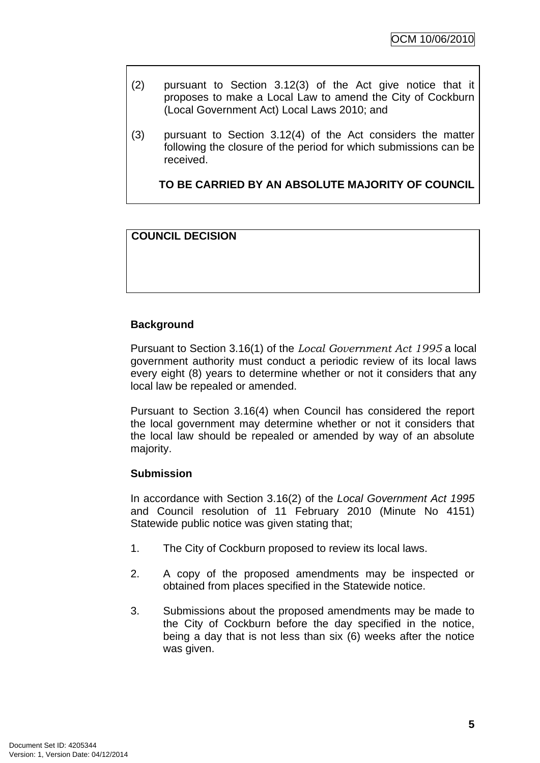- (2) pursuant to Section 3.12(3) of the Act give notice that it proposes to make a Local Law to amend the City of Cockburn (Local Government Act) Local Laws 2010; and
- (3) pursuant to Section 3.12(4) of the Act considers the matter following the closure of the period for which submissions can be received.

## **TO BE CARRIED BY AN ABSOLUTE MAJORITY OF COUNCIL**

## **COUNCIL DECISION**

## **Background**

Pursuant to Section 3.16(1) of the *Local Government Act 1995* a local government authority must conduct a periodic review of its local laws every eight (8) years to determine whether or not it considers that any local law be repealed or amended.

Pursuant to Section 3.16(4) when Council has considered the report the local government may determine whether or not it considers that the local law should be repealed or amended by way of an absolute majority.

#### **Submission**

In accordance with Section 3.16(2) of the *Local Government Act 1995*  and Council resolution of 11 February 2010 (Minute No 4151) Statewide public notice was given stating that;

- 1. The City of Cockburn proposed to review its local laws.
- 2. A copy of the proposed amendments may be inspected or obtained from places specified in the Statewide notice.
- 3. Submissions about the proposed amendments may be made to the City of Cockburn before the day specified in the notice, being a day that is not less than six (6) weeks after the notice was given.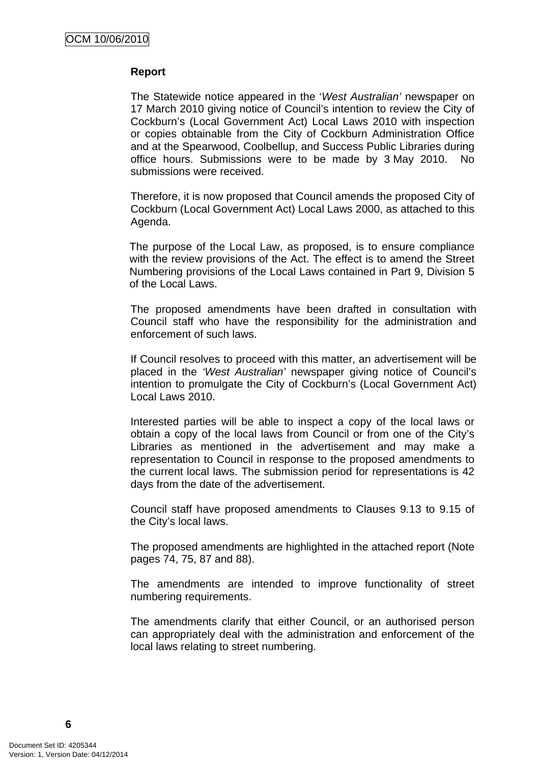#### **Report**

The Statewide notice appeared in the '*West Australian'* newspaper on 17 March 2010 giving notice of Council's intention to review the City of Cockburn's (Local Government Act) Local Laws 2010 with inspection or copies obtainable from the City of Cockburn Administration Office and at the Spearwood, Coolbellup, and Success Public Libraries during office hours. Submissions were to be made by 3 May 2010. No submissions were received.

Therefore, it is now proposed that Council amends the proposed City of Cockburn (Local Government Act) Local Laws 2000, as attached to this Agenda.

The purpose of the Local Law, as proposed, is to ensure compliance with the review provisions of the Act. The effect is to amend the Street Numbering provisions of the Local Laws contained in Part 9, Division 5 of the Local Laws.

The proposed amendments have been drafted in consultation with Council staff who have the responsibility for the administration and enforcement of such laws.

If Council resolves to proceed with this matter, an advertisement will be placed in the *'West Australian'* newspaper giving notice of Council's intention to promulgate the City of Cockburn's (Local Government Act) Local Laws 2010.

Interested parties will be able to inspect a copy of the local laws or obtain a copy of the local laws from Council or from one of the City's Libraries as mentioned in the advertisement and may make a representation to Council in response to the proposed amendments to the current local laws. The submission period for representations is 42 days from the date of the advertisement.

Council staff have proposed amendments to Clauses 9.13 to 9.15 of the City's local laws.

The proposed amendments are highlighted in the attached report (Note pages 74, 75, 87 and 88).

The amendments are intended to improve functionality of street numbering requirements.

The amendments clarify that either Council, or an authorised person can appropriately deal with the administration and enforcement of the local laws relating to street numbering.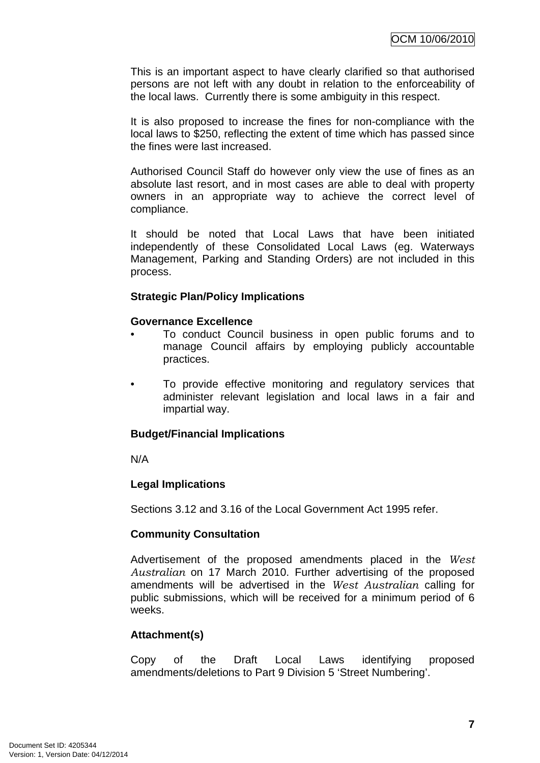This is an important aspect to have clearly clarified so that authorised persons are not left with any doubt in relation to the enforceability of the local laws. Currently there is some ambiguity in this respect.

It is also proposed to increase the fines for non-compliance with the local laws to \$250, reflecting the extent of time which has passed since the fines were last increased.

Authorised Council Staff do however only view the use of fines as an absolute last resort, and in most cases are able to deal with property owners in an appropriate way to achieve the correct level of compliance.

It should be noted that Local Laws that have been initiated independently of these Consolidated Local Laws (eg. Waterways Management, Parking and Standing Orders) are not included in this process.

#### **Strategic Plan/Policy Implications**

#### **Governance Excellence**

- To conduct Council business in open public forums and to manage Council affairs by employing publicly accountable practices.
- To provide effective monitoring and regulatory services that administer relevant legislation and local laws in a fair and impartial way.

#### **Budget/Financial Implications**

N/A

#### **Legal Implications**

Sections 3.12 and 3.16 of the Local Government Act 1995 refer.

#### **Community Consultation**

Advertisement of the proposed amendments placed in the *West Australian* on 17 March 2010. Further advertising of the proposed amendments will be advertised in the *West Australian* calling for public submissions, which will be received for a minimum period of 6 weeks.

#### **Attachment(s)**

Copy of the Draft Local Laws identifying proposed amendments/deletions to Part 9 Division 5 'Street Numbering'.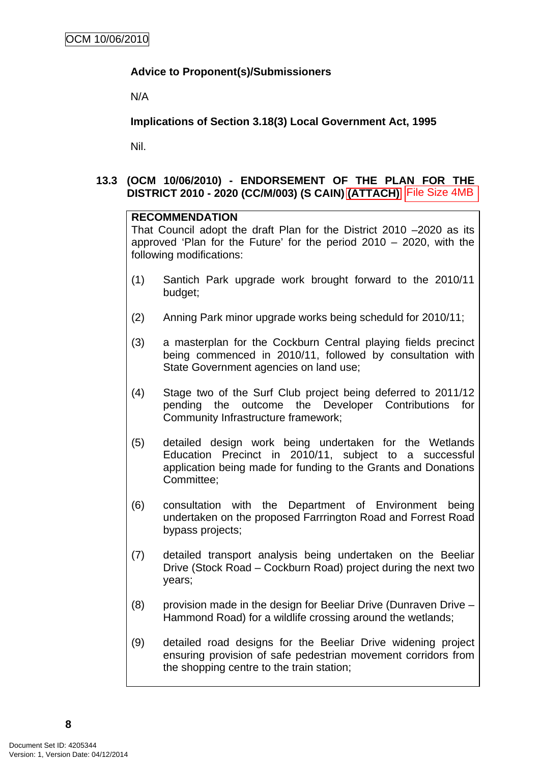## <span id="page-11-0"></span>**Advice to Proponent(s)/Submissioners**

N/A

**Implications of Section 3.18(3) Local Government Act, 1995**

Nil.

## **13.3 (OCM 10/06/2010) - ENDORSEMENT OF THE PLAN FOR THE DISTRICT 2010 - 2020 (CC/M/003) (S CAIN) (ATTACH)**

#### **RECOMMENDATION**

That Council adopt the draft Plan for the District 2010 –2020 as its approved 'Plan for the Future' for the period 2010 – 2020, with the following modifications:

- (1) Santich Park upgrade work brought forward to the 2010/11 budget;
- (2) Anning Park minor upgrade works being scheduld for 2010/11;
- (3) a masterplan for the Cockburn Central playing fields precinct being commenced in 2010/11, followed by consultation with State Government agencies on land use;
- (4) Stage two of the Surf Club project being deferred to 2011/12 pending the outcome the Developer Contributions for Community Infrastructure framework;
- (5) detailed design work being undertaken for the Wetlands Education Precinct in 2010/11, subject to a successful application being made for funding to the Grants and Donations Committee; **DISTRICT 2010 - 2020 (CC/M0003) (S CAIN) (ATTACH)** [File Size 4MB<br> **RECOMMENDATION**<br>
That Council adopt the drait Plan for the District 2010 --2020, with the<br>
That Council adopt the drait Plan for the pointed 2010 - 2020,
	- (6) consultation with the Department of Environment being undertaken on the proposed Farrrington Road and Forrest Road bypass projects;
	- (7) detailed transport analysis being undertaken on the Beeliar Drive (Stock Road – Cockburn Road) project during the next two years;
	- (8) provision made in the design for Beeliar Drive (Dunraven Drive Hammond Road) for a wildlife crossing around the wetlands;
	- (9) detailed road designs for the Beeliar Drive widening project ensuring provision of safe pedestrian movement corridors from the shopping centre to the train station;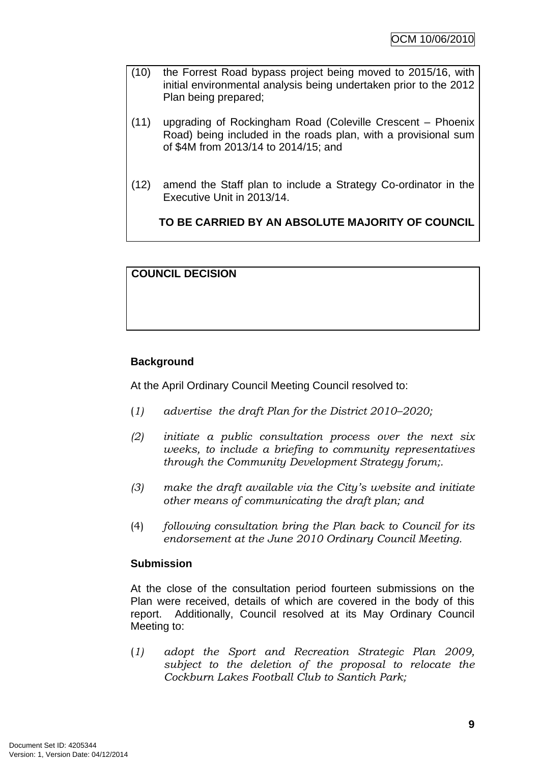- (10) the Forrest Road bypass project being moved to 2015/16, with initial environmental analysis being undertaken prior to the 2012 Plan being prepared;
- (11) upgrading of Rockingham Road (Coleville Crescent Phoenix Road) being included in the roads plan, with a provisional sum of \$4M from 2013/14 to 2014/15; and
- (12) amend the Staff plan to include a Strategy Co-ordinator in the Executive Unit in 2013/14.

**TO BE CARRIED BY AN ABSOLUTE MAJORITY OF COUNCIL**

## **COUNCIL DECISION**

## **Background**

At the April Ordinary Council Meeting Council resolved to:

- (*1) advertise the draft Plan for the District 2010–2020;*
- *(2) initiate a public consultation process over the next six weeks, to include a briefing to community representatives through the Community Development Strategy forum;.*
- *(3) make the draft available via the City's website and initiate other means of communicating the draft plan; and*
- (4) *following consultation bring the Plan back to Council for its endorsement at the June 2010 Ordinary Council Meeting.*

#### **Submission**

At the close of the consultation period fourteen submissions on the Plan were received, details of which are covered in the body of this report. Additionally, Council resolved at its May Ordinary Council Meeting to:

(*1) adopt the Sport and Recreation Strategic Plan 2009, subject to the deletion of the proposal to relocate the Cockburn Lakes Football Club to Santich Park;*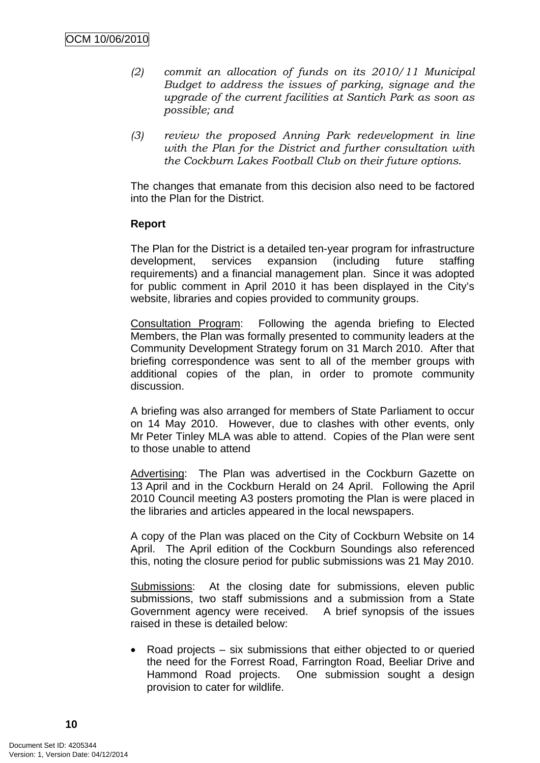- *(2) commit an allocation of funds on its 2010/11 Municipal Budget to address the issues of parking, signage and the upgrade of the current facilities at Santich Park as soon as possible; and*
- *(3) review the proposed Anning Park redevelopment in line with the Plan for the District and further consultation with the Cockburn Lakes Football Club on their future options*.

The changes that emanate from this decision also need to be factored into the Plan for the District.

#### **Report**

The Plan for the District is a detailed ten-year program for infrastructure development, services expansion (including future staffing requirements) and a financial management plan. Since it was adopted for public comment in April 2010 it has been displayed in the City's website, libraries and copies provided to community groups.

Consultation Program: Following the agenda briefing to Elected Members, the Plan was formally presented to community leaders at the Community Development Strategy forum on 31 March 2010. After that briefing correspondence was sent to all of the member groups with additional copies of the plan, in order to promote community discussion.

A briefing was also arranged for members of State Parliament to occur on 14 May 2010. However, due to clashes with other events, only Mr Peter Tinley MLA was able to attend. Copies of the Plan were sent to those unable to attend

Advertising: The Plan was advertised in the Cockburn Gazette on 13 April and in the Cockburn Herald on 24 April. Following the April 2010 Council meeting A3 posters promoting the Plan is were placed in the libraries and articles appeared in the local newspapers.

A copy of the Plan was placed on the City of Cockburn Website on 14 April. The April edition of the Cockburn Soundings also referenced this, noting the closure period for public submissions was 21 May 2010.

Submissions: At the closing date for submissions, eleven public submissions, two staff submissions and a submission from a State Government agency were received. A brief synopsis of the issues raised in these is detailed below:

• Road projects – six submissions that either objected to or queried the need for the Forrest Road, Farrington Road, Beeliar Drive and Hammond Road projects. One submission sought a design provision to cater for wildlife.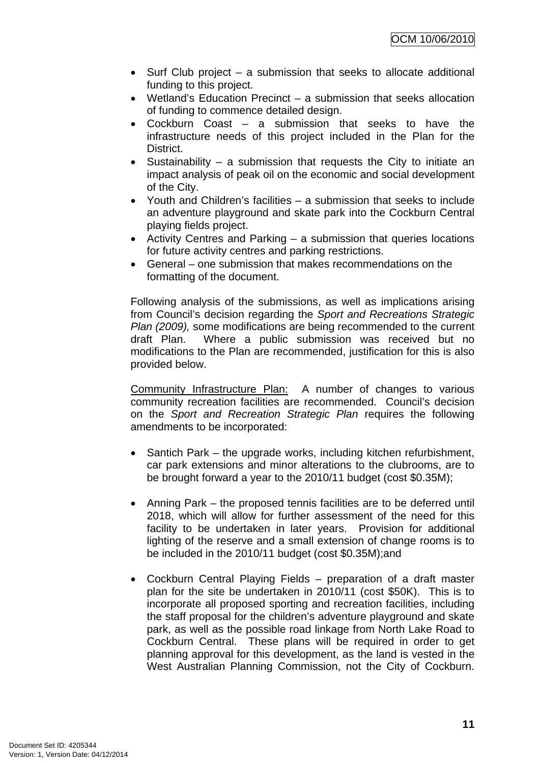- Surf Club project a submission that seeks to allocate additional funding to this project.
- Wetland's Education Precinct a submission that seeks allocation of funding to commence detailed design.
- Cockburn Coast a submission that seeks to have the infrastructure needs of this project included in the Plan for the District.
- Sustainability a submission that requests the City to initiate an impact analysis of peak oil on the economic and social development of the City.
- Youth and Children's facilities a submission that seeks to include an adventure playground and skate park into the Cockburn Central playing fields project.
- Activity Centres and Parking a submission that queries locations for future activity centres and parking restrictions.
- General one submission that makes recommendations on the formatting of the document.

Following analysis of the submissions, as well as implications arising from Council's decision regarding the *Sport and Recreations Strategic Plan (2009),* some modifications are being recommended to the current draft Plan. Where a public submission was received but no modifications to the Plan are recommended, justification for this is also provided below.

Community Infrastructure Plan: A number of changes to various community recreation facilities are recommended. Council's decision on the *Sport and Recreation Strategic Plan* requires the following amendments to be incorporated:

- Santich Park the upgrade works, including kitchen refurbishment, car park extensions and minor alterations to the clubrooms, are to be brought forward a year to the 2010/11 budget (cost \$0.35M);
- Anning Park the proposed tennis facilities are to be deferred until 2018, which will allow for further assessment of the need for this facility to be undertaken in later years. Provision for additional lighting of the reserve and a small extension of change rooms is to be included in the 2010/11 budget (cost \$0.35M);and
- Cockburn Central Playing Fields preparation of a draft master plan for the site be undertaken in 2010/11 (cost \$50K). This is to incorporate all proposed sporting and recreation facilities, including the staff proposal for the children's adventure playground and skate park, as well as the possible road linkage from North Lake Road to Cockburn Central. These plans will be required in order to get planning approval for this development, as the land is vested in the West Australian Planning Commission, not the City of Cockburn.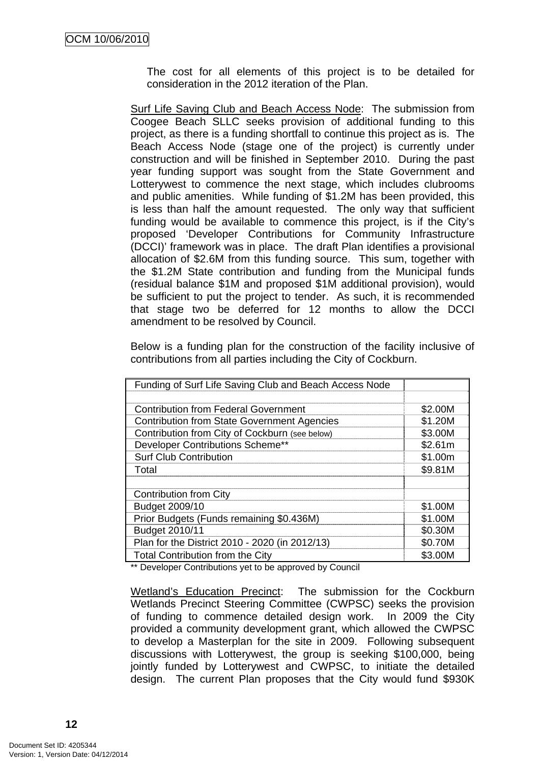The cost for all elements of this project is to be detailed for consideration in the 2012 iteration of the Plan.

Surf Life Saving Club and Beach Access Node: The submission from Coogee Beach SLLC seeks provision of additional funding to this project, as there is a funding shortfall to continue this project as is. The Beach Access Node (stage one of the project) is currently under construction and will be finished in September 2010. During the past year funding support was sought from the State Government and Lotterywest to commence the next stage, which includes clubrooms and public amenities. While funding of \$1.2M has been provided, this is less than half the amount requested. The only way that sufficient funding would be available to commence this project, is if the City's proposed 'Developer Contributions for Community Infrastructure (DCCI)' framework was in place. The draft Plan identifies a provisional allocation of \$2.6M from this funding source. This sum, together with the \$1.2M State contribution and funding from the Municipal funds (residual balance \$1M and proposed \$1M additional provision), would be sufficient to put the project to tender. As such, it is recommended that stage two be deferred for 12 months to allow the DCCI amendment to be resolved by Council.

Below is a funding plan for the construction of the facility inclusive of contributions from all parties including the City of Cockburn.

| Funding of Surf Life Saving Club and Beach Access Node |         |
|--------------------------------------------------------|---------|
|                                                        |         |
| <b>Contribution from Federal Government</b>            | \$2.00M |
| <b>Contribution from State Government Agencies</b>     | \$1.20M |
| Contribution from City of Cockburn (see below)         | \$3.00M |
| Developer Contributions Scheme**                       | \$2.61m |
| <b>Surf Club Contribution</b>                          | \$1.00m |
| Total                                                  | \$9.81M |
|                                                        |         |
| <b>Contribution from City</b>                          |         |
| Budget 2009/10                                         | \$1.00M |
| Prior Budgets (Funds remaining \$0.436M)               | \$1.00M |
| Budget 2010/11                                         | \$0.30M |
| Plan for the District 2010 - 2020 (in 2012/13)         | \$0.70M |
| <b>Total Contribution from the City</b>                | \$3.00M |

\*\* Developer Contributions yet to be approved by Council

Wetland's Education Precinct: The submission for the Cockburn Wetlands Precinct Steering Committee (CWPSC) seeks the provision of funding to commence detailed design work. In 2009 the City provided a community development grant, which allowed the CWPSC to develop a Masterplan for the site in 2009. Following subsequent discussions with Lotterywest, the group is seeking \$100,000, being jointly funded by Lotterywest and CWPSC, to initiate the detailed design. The current Plan proposes that the City would fund \$930K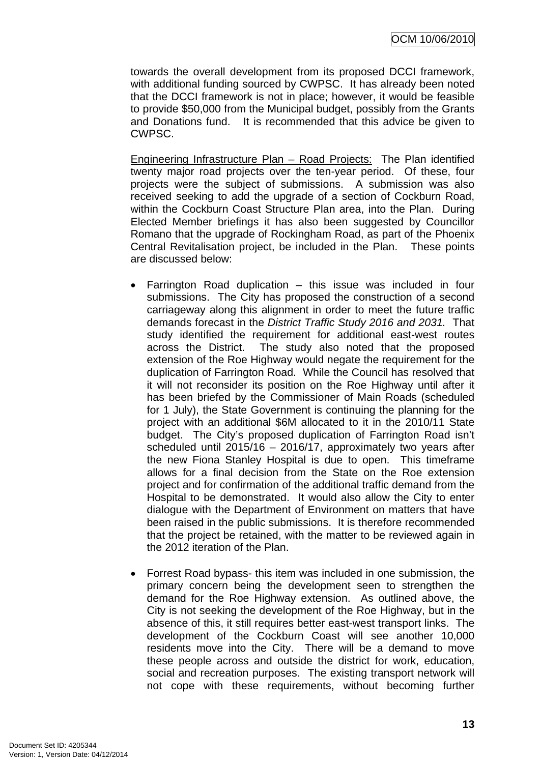towards the overall development from its proposed DCCI framework, with additional funding sourced by CWPSC. It has already been noted that the DCCI framework is not in place; however, it would be feasible to provide \$50,000 from the Municipal budget, possibly from the Grants and Donations fund. It is recommended that this advice be given to CWPSC.

Engineering Infrastructure Plan – Road Projects: The Plan identified twenty major road projects over the ten-year period. Of these, four projects were the subject of submissions. A submission was also received seeking to add the upgrade of a section of Cockburn Road, within the Cockburn Coast Structure Plan area, into the Plan. During Elected Member briefings it has also been suggested by Councillor Romano that the upgrade of Rockingham Road, as part of the Phoenix Central Revitalisation project, be included in the Plan. These points are discussed below:

- Farrington Road duplication this issue was included in four submissions. The City has proposed the construction of a second carriageway along this alignment in order to meet the future traffic demands forecast in the *District Traffic Study 2016 and 2031.* That study identified the requirement for additional east-west routes across the District. The study also noted that the proposed extension of the Roe Highway would negate the requirement for the duplication of Farrington Road. While the Council has resolved that it will not reconsider its position on the Roe Highway until after it has been briefed by the Commissioner of Main Roads (scheduled for 1 July), the State Government is continuing the planning for the project with an additional \$6M allocated to it in the 2010/11 State budget. The City's proposed duplication of Farrington Road isn't scheduled until 2015/16 – 2016/17, approximately two years after the new Fiona Stanley Hospital is due to open. This timeframe allows for a final decision from the State on the Roe extension project and for confirmation of the additional traffic demand from the Hospital to be demonstrated. It would also allow the City to enter dialogue with the Department of Environment on matters that have been raised in the public submissions. It is therefore recommended that the project be retained, with the matter to be reviewed again in the 2012 iteration of the Plan.
- Forrest Road bypass- this item was included in one submission, the primary concern being the development seen to strengthen the demand for the Roe Highway extension. As outlined above, the City is not seeking the development of the Roe Highway, but in the absence of this, it still requires better east-west transport links. The development of the Cockburn Coast will see another 10,000 residents move into the City. There will be a demand to move these people across and outside the district for work, education, social and recreation purposes. The existing transport network will not cope with these requirements, without becoming further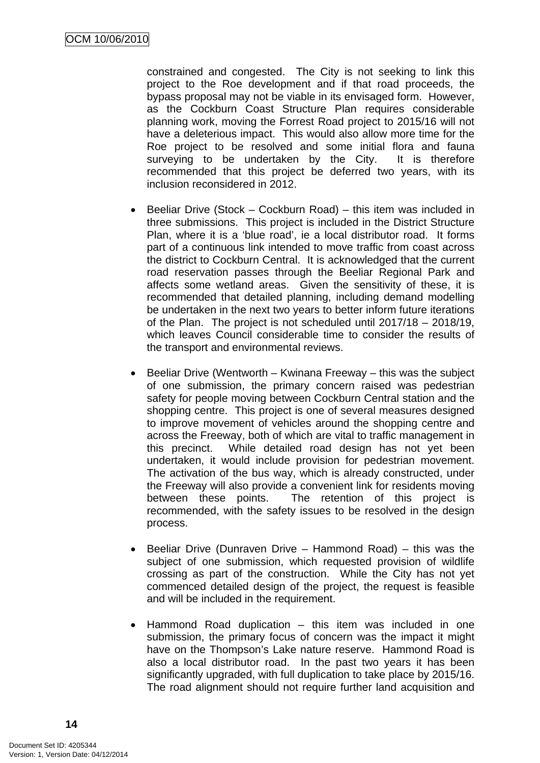constrained and congested. The City is not seeking to link this project to the Roe development and if that road proceeds, the bypass proposal may not be viable in its envisaged form. However, as the Cockburn Coast Structure Plan requires considerable planning work, moving the Forrest Road project to 2015/16 will not have a deleterious impact. This would also allow more time for the Roe project to be resolved and some initial flora and fauna surveying to be undertaken by the City. It is therefore recommended that this project be deferred two years, with its inclusion reconsidered in 2012.

- Beeliar Drive (Stock Cockburn Road) this item was included in three submissions. This project is included in the District Structure Plan, where it is a 'blue road', ie a local distributor road. It forms part of a continuous link intended to move traffic from coast across the district to Cockburn Central. It is acknowledged that the current road reservation passes through the Beeliar Regional Park and affects some wetland areas. Given the sensitivity of these, it is recommended that detailed planning, including demand modelling be undertaken in the next two years to better inform future iterations of the Plan. The project is not scheduled until 2017/18 – 2018/19, which leaves Council considerable time to consider the results of the transport and environmental reviews.
- Beeliar Drive (Wentworth Kwinana Freeway this was the subject of one submission, the primary concern raised was pedestrian safety for people moving between Cockburn Central station and the shopping centre. This project is one of several measures designed to improve movement of vehicles around the shopping centre and across the Freeway, both of which are vital to traffic management in this precinct. While detailed road design has not yet been undertaken, it would include provision for pedestrian movement. The activation of the bus way, which is already constructed, under the Freeway will also provide a convenient link for residents moving between these points. The retention of this project is recommended, with the safety issues to be resolved in the design process.
- Beeliar Drive (Dunraven Drive Hammond Road) this was the subject of one submission, which requested provision of wildlife crossing as part of the construction. While the City has not yet commenced detailed design of the project, the request is feasible and will be included in the requirement.
- Hammond Road duplication this item was included in one submission, the primary focus of concern was the impact it might have on the Thompson's Lake nature reserve. Hammond Road is also a local distributor road. In the past two years it has been significantly upgraded, with full duplication to take place by 2015/16. The road alignment should not require further land acquisition and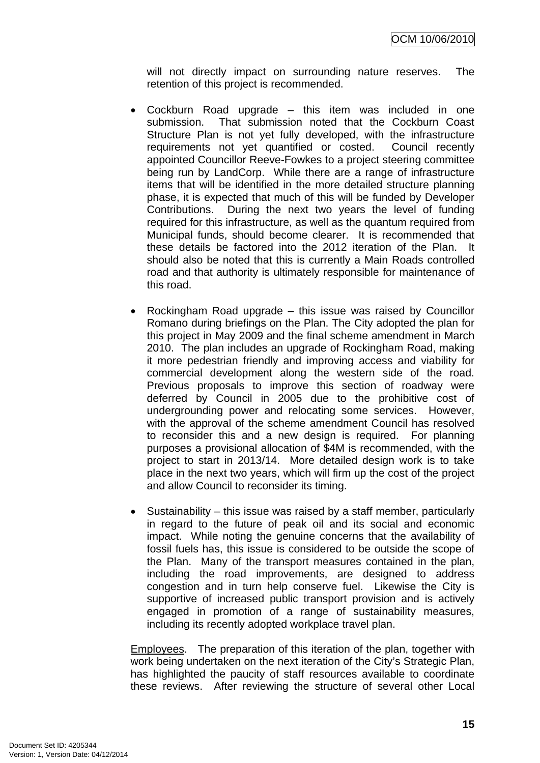will not directly impact on surrounding nature reserves. The retention of this project is recommended.

- Cockburn Road upgrade this item was included in one submission. That submission noted that the Cockburn Coast Structure Plan is not yet fully developed, with the infrastructure requirements not yet quantified or costed. Council recently appointed Councillor Reeve-Fowkes to a project steering committee being run by LandCorp. While there are a range of infrastructure items that will be identified in the more detailed structure planning phase, it is expected that much of this will be funded by Developer Contributions. During the next two years the level of funding required for this infrastructure, as well as the quantum required from Municipal funds, should become clearer. It is recommended that these details be factored into the 2012 iteration of the Plan. It should also be noted that this is currently a Main Roads controlled road and that authority is ultimately responsible for maintenance of this road.
- Rockingham Road upgrade this issue was raised by Councillor Romano during briefings on the Plan. The City adopted the plan for this project in May 2009 and the final scheme amendment in March 2010. The plan includes an upgrade of Rockingham Road, making it more pedestrian friendly and improving access and viability for commercial development along the western side of the road. Previous proposals to improve this section of roadway were deferred by Council in 2005 due to the prohibitive cost of undergrounding power and relocating some services. However, with the approval of the scheme amendment Council has resolved to reconsider this and a new design is required. For planning purposes a provisional allocation of \$4M is recommended, with the project to start in 2013/14. More detailed design work is to take place in the next two years, which will firm up the cost of the project and allow Council to reconsider its timing.
- Sustainability this issue was raised by a staff member, particularly in regard to the future of peak oil and its social and economic impact. While noting the genuine concerns that the availability of fossil fuels has, this issue is considered to be outside the scope of the Plan. Many of the transport measures contained in the plan, including the road improvements, are designed to address congestion and in turn help conserve fuel. Likewise the City is supportive of increased public transport provision and is actively engaged in promotion of a range of sustainability measures, including its recently adopted workplace travel plan.

Employees. The preparation of this iteration of the plan, together with work being undertaken on the next iteration of the City's Strategic Plan, has highlighted the paucity of staff resources available to coordinate these reviews. After reviewing the structure of several other Local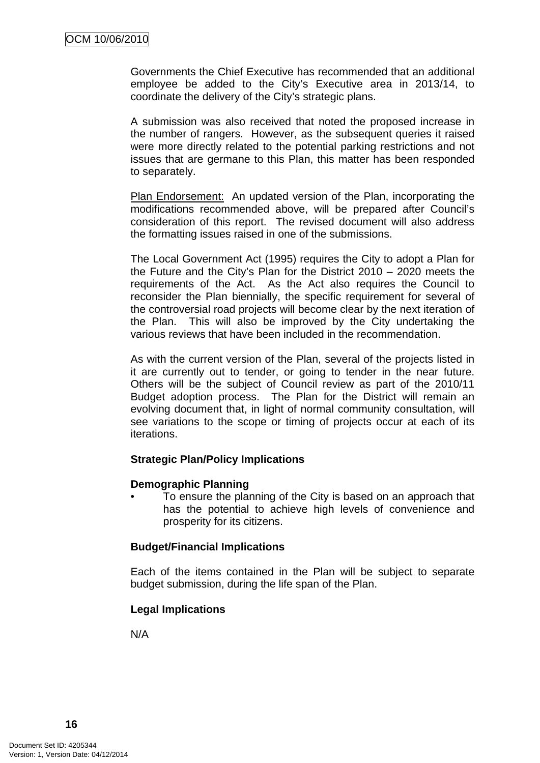Governments the Chief Executive has recommended that an additional employee be added to the City's Executive area in 2013/14, to coordinate the delivery of the City's strategic plans.

A submission was also received that noted the proposed increase in the number of rangers. However, as the subsequent queries it raised were more directly related to the potential parking restrictions and not issues that are germane to this Plan, this matter has been responded to separately.

Plan Endorsement: An updated version of the Plan, incorporating the modifications recommended above, will be prepared after Council's consideration of this report. The revised document will also address the formatting issues raised in one of the submissions.

The Local Government Act (1995) requires the City to adopt a Plan for the Future and the City's Plan for the District 2010 – 2020 meets the requirements of the Act. As the Act also requires the Council to reconsider the Plan biennially, the specific requirement for several of the controversial road projects will become clear by the next iteration of the Plan. This will also be improved by the City undertaking the various reviews that have been included in the recommendation.

As with the current version of the Plan, several of the projects listed in it are currently out to tender, or going to tender in the near future. Others will be the subject of Council review as part of the 2010/11 Budget adoption process. The Plan for the District will remain an evolving document that, in light of normal community consultation, will see variations to the scope or timing of projects occur at each of its iterations.

#### **Strategic Plan/Policy Implications**

#### **Demographic Planning**

• To ensure the planning of the City is based on an approach that has the potential to achieve high levels of convenience and prosperity for its citizens.

#### **Budget/Financial Implications**

Each of the items contained in the Plan will be subject to separate budget submission, during the life span of the Plan.

## **Legal Implications**

N/A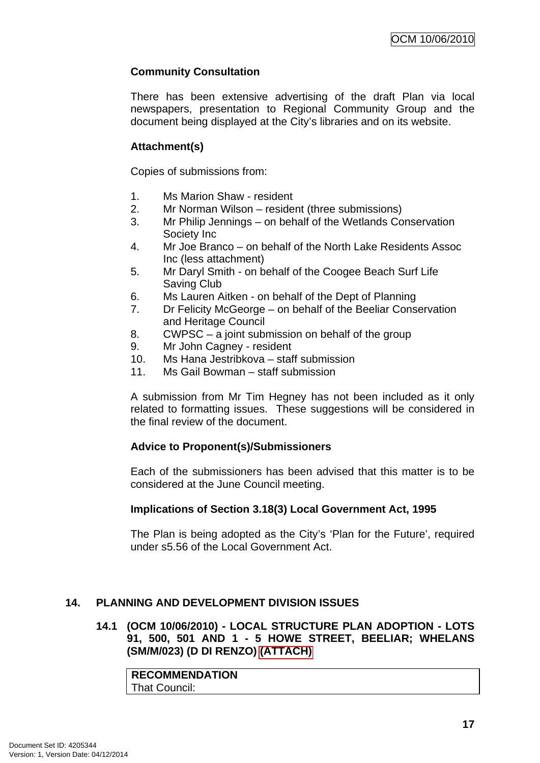## <span id="page-20-0"></span>**Community Consultation**

There has been extensive advertising of the draft Plan via local newspapers, presentation to Regional Community Group and the document being displayed at the City's libraries and on its website.

## **Attachment(s)**

Copies of submissions from:

- 1. Ms Marion Shaw resident
- 2. Mr Norman Wilson resident (three submissions)
- 3. Mr Philip Jennings on behalf of the Wetlands Conservation Society Inc
- 4. Mr Joe Branco on behalf of the North Lake Residents Assoc Inc (less attachment)
- 5. Mr Daryl Smith on behalf of the Coogee Beach Surf Life Saving Club
- 6. Ms Lauren Aitken on behalf of the Dept of Planning
- 7. Dr Felicity McGeorge on behalf of the Beeliar Conservation and Heritage Council
- 8. CWPSC a joint submission on behalf of the group
- 9. Mr John Cagney resident
- 10. Ms Hana Jestribkova staff submission
- 11. Ms Gail Bowman staff submission

A submission from Mr Tim Hegney has not been included as it only related to formatting issues. These suggestions will be considered in the final review of the document.

## **Advice to Proponent(s)/Submissioners**

Each of the submissioners has been advised that this matter is to be considered at the June Council meeting.

#### **Implications of Section 3.18(3) Local Government Act, 1995**

The Plan is being adopted as the City's 'Plan for the Future', required under s5.56 of the Local Government Act.

## **14. PLANNING AND DEVELOPMENT DIVISION ISSUES**

## **14.1 (OCM 10/06/2010) - LOCAL STRUCTURE PLAN ADOPTION - LOTS 91, 500, 501 AND 1 - 5 HOWE STREET, BEELIAR; WHELANS (SM/M/023) (D DI RENZO) (ATTACH)**

| <b>RECOMMENDATION</b> |  |
|-----------------------|--|
| <b>That Council:</b>  |  |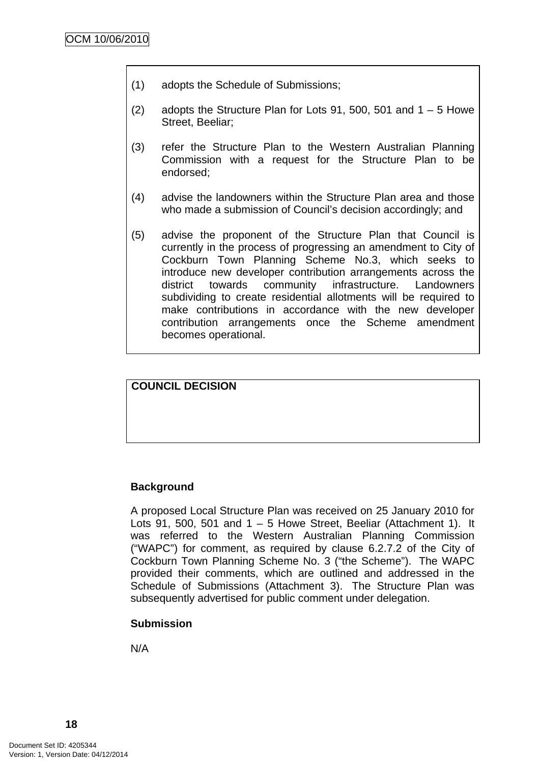- (1) adopts the Schedule of Submissions;
- (2) adopts the Structure Plan for Lots 91, 500, 501 and  $1 5$  Howe Street, Beeliar;
- (3) refer the Structure Plan to the Western Australian Planning Commission with a request for the Structure Plan to be endorsed;
- (4) advise the landowners within the Structure Plan area and those who made a submission of Council's decision accordingly; and
- (5) advise the proponent of the Structure Plan that Council is currently in the process of progressing an amendment to City of Cockburn Town Planning Scheme No.3, which seeks to introduce new developer contribution arrangements across the district towards community infrastructure. Landowners subdividing to create residential allotments will be required to make contributions in accordance with the new developer contribution arrangements once the Scheme amendment becomes operational.

**COUNCIL DECISION** 

## **Background**

A proposed Local Structure Plan was received on 25 January 2010 for Lots 91, 500, 501 and  $1 - 5$  Howe Street, Beeliar (Attachment 1). It was referred to the Western Australian Planning Commission ("WAPC") for comment, as required by clause 6.2.7.2 of the City of Cockburn Town Planning Scheme No. 3 ("the Scheme"). The WAPC provided their comments, which are outlined and addressed in the Schedule of Submissions (Attachment 3). The Structure Plan was subsequently advertised for public comment under delegation.

#### **Submission**

N/A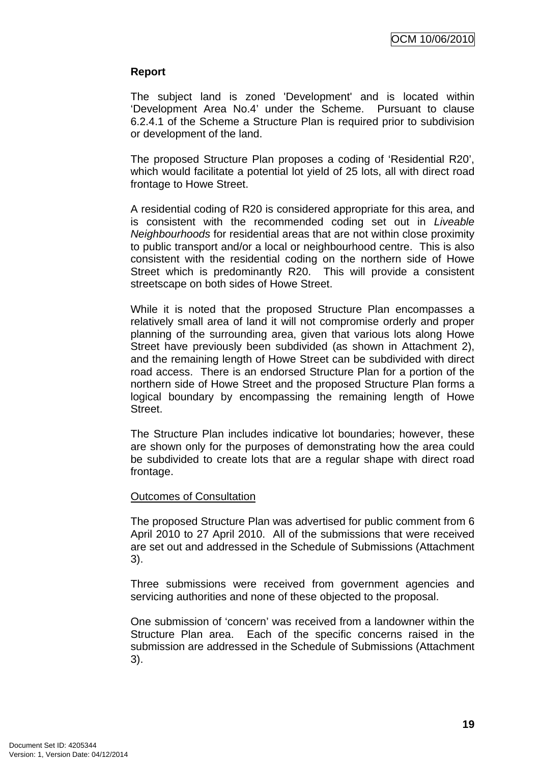#### **Report**

The subject land is zoned 'Development' and is located within 'Development Area No.4' under the Scheme. Pursuant to clause 6.2.4.1 of the Scheme a Structure Plan is required prior to subdivision or development of the land.

The proposed Structure Plan proposes a coding of 'Residential R20', which would facilitate a potential lot yield of 25 lots, all with direct road frontage to Howe Street.

A residential coding of R20 is considered appropriate for this area, and is consistent with the recommended coding set out in *Liveable Neighbourhoods* for residential areas that are not within close proximity to public transport and/or a local or neighbourhood centre. This is also consistent with the residential coding on the northern side of Howe Street which is predominantly R20. This will provide a consistent streetscape on both sides of Howe Street.

While it is noted that the proposed Structure Plan encompasses a relatively small area of land it will not compromise orderly and proper planning of the surrounding area, given that various lots along Howe Street have previously been subdivided (as shown in Attachment 2), and the remaining length of Howe Street can be subdivided with direct road access. There is an endorsed Structure Plan for a portion of the northern side of Howe Street and the proposed Structure Plan forms a logical boundary by encompassing the remaining length of Howe Street.

The Structure Plan includes indicative lot boundaries; however, these are shown only for the purposes of demonstrating how the area could be subdivided to create lots that are a regular shape with direct road frontage.

#### Outcomes of Consultation

The proposed Structure Plan was advertised for public comment from 6 April 2010 to 27 April 2010. All of the submissions that were received are set out and addressed in the Schedule of Submissions (Attachment 3).

Three submissions were received from government agencies and servicing authorities and none of these objected to the proposal.

One submission of 'concern' was received from a landowner within the Structure Plan area. Each of the specific concerns raised in the submission are addressed in the Schedule of Submissions (Attachment 3).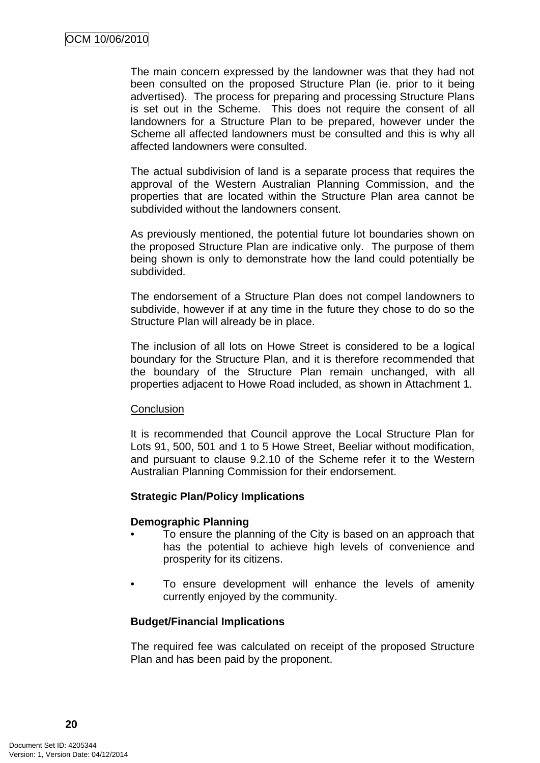The main concern expressed by the landowner was that they had not been consulted on the proposed Structure Plan (ie. prior to it being advertised). The process for preparing and processing Structure Plans is set out in the Scheme. This does not require the consent of all landowners for a Structure Plan to be prepared, however under the Scheme all affected landowners must be consulted and this is why all affected landowners were consulted.

The actual subdivision of land is a separate process that requires the approval of the Western Australian Planning Commission, and the properties that are located within the Structure Plan area cannot be subdivided without the landowners consent.

As previously mentioned, the potential future lot boundaries shown on the proposed Structure Plan are indicative only. The purpose of them being shown is only to demonstrate how the land could potentially be subdivided.

The endorsement of a Structure Plan does not compel landowners to subdivide, however if at any time in the future they chose to do so the Structure Plan will already be in place.

The inclusion of all lots on Howe Street is considered to be a logical boundary for the Structure Plan, and it is therefore recommended that the boundary of the Structure Plan remain unchanged, with all properties adjacent to Howe Road included, as shown in Attachment 1.

#### **Conclusion**

It is recommended that Council approve the Local Structure Plan for Lots 91, 500, 501 and 1 to 5 Howe Street, Beeliar without modification, and pursuant to clause 9.2.10 of the Scheme refer it to the Western Australian Planning Commission for their endorsement.

#### **Strategic Plan/Policy Implications**

#### **Demographic Planning**

- To ensure the planning of the City is based on an approach that has the potential to achieve high levels of convenience and prosperity for its citizens.
- To ensure development will enhance the levels of amenity currently enjoyed by the community.

#### **Budget/Financial Implications**

The required fee was calculated on receipt of the proposed Structure Plan and has been paid by the proponent.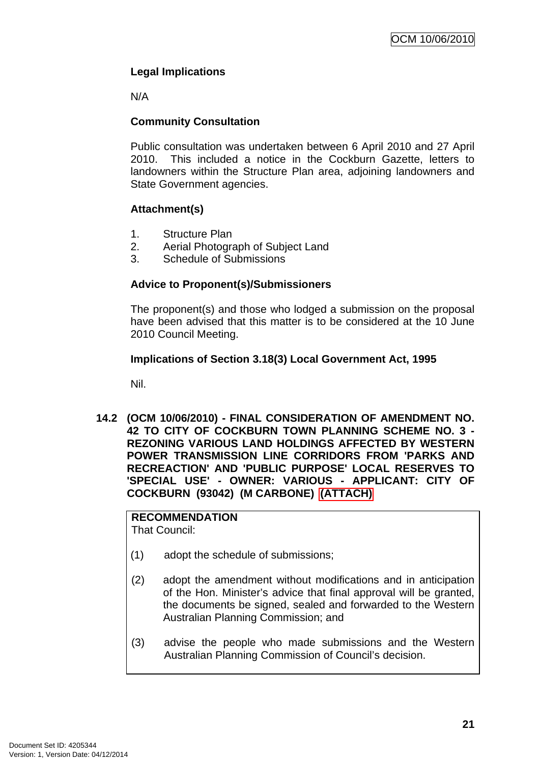## <span id="page-24-0"></span>**Legal Implications**

N/A

## **Community Consultation**

Public consultation was undertaken between 6 April 2010 and 27 April 2010. This included a notice in the Cockburn Gazette, letters to landowners within the Structure Plan area, adjoining landowners and State Government agencies.

## **Attachment(s)**

- 1. Structure Plan
- 2. Aerial Photograph of Subject Land
- 3. Schedule of Submissions

## **Advice to Proponent(s)/Submissioners**

The proponent(s) and those who lodged a submission on the proposal have been advised that this matter is to be considered at the 10 June 2010 Council Meeting.

## **Implications of Section 3.18(3) Local Government Act, 1995**

Nil.

**14.2 (OCM 10/06/2010) - FINAL CONSIDERATION OF AMENDMENT NO. 42 TO CITY OF COCKBURN TOWN PLANNING SCHEME NO. 3 - REZONING VARIOUS LAND HOLDINGS AFFECTED BY WESTERN POWER TRANSMISSION LINE CORRIDORS FROM 'PARKS AND RECREACTION' AND 'PUBLIC PURPOSE' LOCAL RESERVES TO 'SPECIAL USE' - OWNER: VARIOUS - APPLICANT: CITY OF COCKBURN (93042) (M CARBONE) (ATTACH)** 

## **RECOMMENDATION**

That Council:

- (1) adopt the schedule of submissions;
- (2) adopt the amendment without modifications and in anticipation of the Hon. Minister's advice that final approval will be granted, the documents be signed, sealed and forwarded to the Western Australian Planning Commission; and
- (3) advise the people who made submissions and the Western Australian Planning Commission of Council's decision.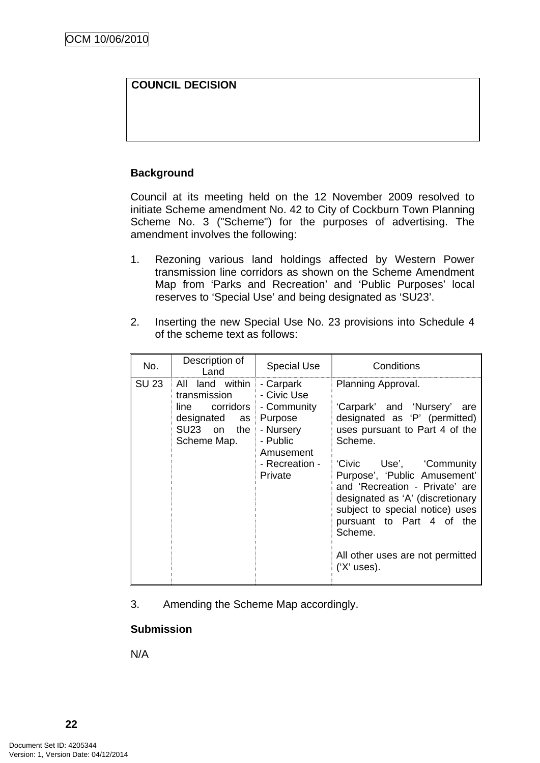## **COUNCIL DECISION**

## **Background**

Council at its meeting held on the 12 November 2009 resolved to initiate Scheme amendment No. 42 to City of Cockburn Town Planning Scheme No. 3 ("Scheme") for the purposes of advertising. The amendment involves the following:

- 1. Rezoning various land holdings affected by Western Power transmission line corridors as shown on the Scheme Amendment Map from 'Parks and Recreation' and 'Public Purposes' local reserves to 'Special Use' and being designated as 'SU23'.
- 2. Inserting the new Special Use No. 23 provisions into Schedule 4 of the scheme text as follows:

| No.   | Description of<br>Land                                                                              | <b>Special Use</b>                                                                                                    | Conditions                                                                                                                                                                                                                                                                                                                                                                                         |
|-------|-----------------------------------------------------------------------------------------------------|-----------------------------------------------------------------------------------------------------------------------|----------------------------------------------------------------------------------------------------------------------------------------------------------------------------------------------------------------------------------------------------------------------------------------------------------------------------------------------------------------------------------------------------|
| SU 23 | land within<br>All<br>transmission<br>line corridors<br>designated as<br>SU23 on the<br>Scheme Map. | - Carpark<br>- Civic Use<br>- Community<br>Purpose<br>- Nursery<br>- Public<br>Amusement<br>- Recreation -<br>Private | Planning Approval.<br>'Carpark' and 'Nursery'<br>are<br>designated as 'P' (permitted)<br>uses pursuant to Part 4 of the<br>Scheme.<br>'Civic Use', 'Community<br>Purpose', 'Public Amusement'<br>and 'Recreation - Private' are<br>designated as 'A' (discretionary<br>subject to special notice) uses<br>pursuant to Part 4 of the<br>Scheme.<br>All other uses are not permitted<br>$(X'$ uses). |

3. Amending the Scheme Map accordingly.

#### **Submission**

N/A

**22**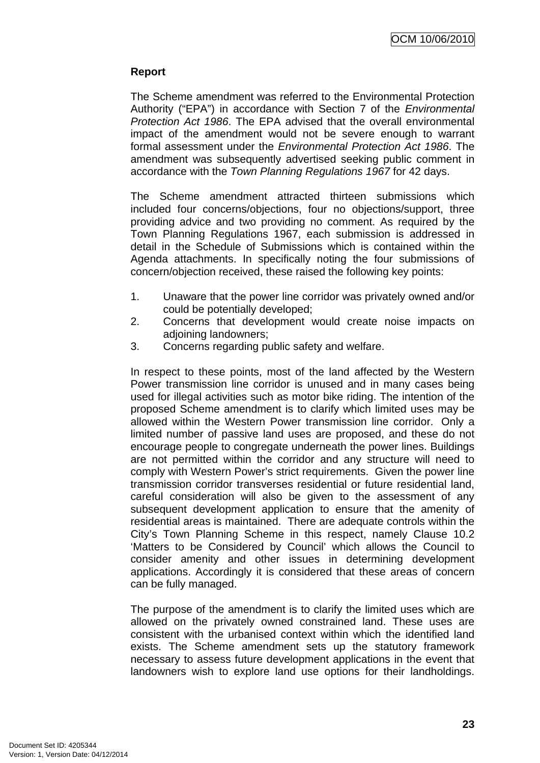## **Report**

The Scheme amendment was referred to the Environmental Protection Authority ("EPA") in accordance with Section 7 of the *Environmental Protection Act 1986*. The EPA advised that the overall environmental impact of the amendment would not be severe enough to warrant formal assessment under the *Environmental Protection Act 1986*. The amendment was subsequently advertised seeking public comment in accordance with the *Town Planning Regulations 1967* for 42 days.

The Scheme amendment attracted thirteen submissions which included four concerns/objections, four no objections/support, three providing advice and two providing no comment. As required by the Town Planning Regulations 1967, each submission is addressed in detail in the Schedule of Submissions which is contained within the Agenda attachments. In specifically noting the four submissions of concern/objection received, these raised the following key points:

- 1. Unaware that the power line corridor was privately owned and/or could be potentially developed;
- 2. Concerns that development would create noise impacts on adioining landowners:
- 3. Concerns regarding public safety and welfare.

In respect to these points, most of the land affected by the Western Power transmission line corridor is unused and in many cases being used for illegal activities such as motor bike riding. The intention of the proposed Scheme amendment is to clarify which limited uses may be allowed within the Western Power transmission line corridor. Only a limited number of passive land uses are proposed, and these do not encourage people to congregate underneath the power lines. Buildings are not permitted within the corridor and any structure will need to comply with Western Power's strict requirements. Given the power line transmission corridor transverses residential or future residential land, careful consideration will also be given to the assessment of any subsequent development application to ensure that the amenity of residential areas is maintained. There are adequate controls within the City's Town Planning Scheme in this respect, namely Clause 10.2 'Matters to be Considered by Council' which allows the Council to consider amenity and other issues in determining development applications. Accordingly it is considered that these areas of concern can be fully managed.

The purpose of the amendment is to clarify the limited uses which are allowed on the privately owned constrained land. These uses are consistent with the urbanised context within which the identified land exists. The Scheme amendment sets up the statutory framework necessary to assess future development applications in the event that landowners wish to explore land use options for their landholdings.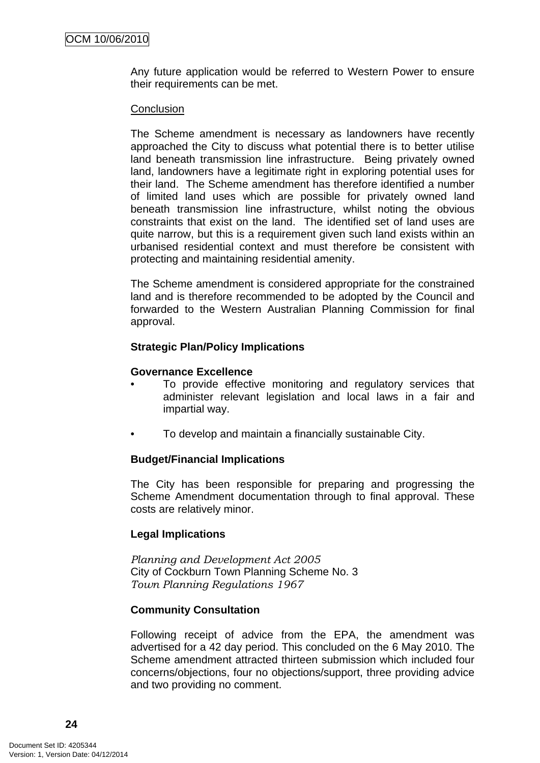Any future application would be referred to Western Power to ensure their requirements can be met.

#### **Conclusion**

The Scheme amendment is necessary as landowners have recently approached the City to discuss what potential there is to better utilise land beneath transmission line infrastructure. Being privately owned land, landowners have a legitimate right in exploring potential uses for their land. The Scheme amendment has therefore identified a number of limited land uses which are possible for privately owned land beneath transmission line infrastructure, whilst noting the obvious constraints that exist on the land. The identified set of land uses are quite narrow, but this is a requirement given such land exists within an urbanised residential context and must therefore be consistent with protecting and maintaining residential amenity.

The Scheme amendment is considered appropriate for the constrained land and is therefore recommended to be adopted by the Council and forwarded to the Western Australian Planning Commission for final approval.

#### **Strategic Plan/Policy Implications**

#### **Governance Excellence**

- To provide effective monitoring and regulatory services that administer relevant legislation and local laws in a fair and impartial way.
- To develop and maintain a financially sustainable City.

#### **Budget/Financial Implications**

The City has been responsible for preparing and progressing the Scheme Amendment documentation through to final approval. These costs are relatively minor.

#### **Legal Implications**

*Planning and Development Act 2005*  City of Cockburn Town Planning Scheme No. 3 *Town Planning Regulations 1967* 

#### **Community Consultation**

Following receipt of advice from the EPA, the amendment was advertised for a 42 day period. This concluded on the 6 May 2010. The Scheme amendment attracted thirteen submission which included four concerns/objections, four no objections/support, three providing advice and two providing no comment.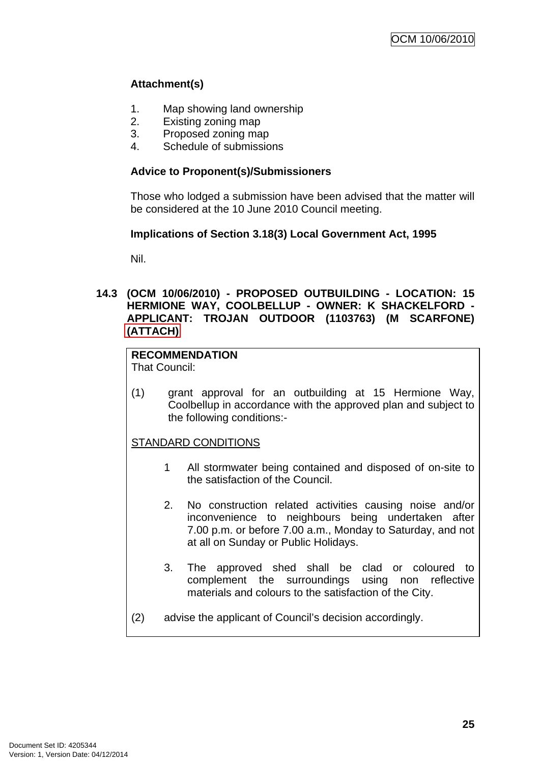## <span id="page-28-0"></span>**Attachment(s)**

- 1. Map showing land ownership
- 2. Existing zoning map
- 3. Proposed zoning map
- 4. Schedule of submissions

## **Advice to Proponent(s)/Submissioners**

Those who lodged a submission have been advised that the matter will be considered at the 10 June 2010 Council meeting.

## **Implications of Section 3.18(3) Local Government Act, 1995**

Nil.

## **14.3 (OCM 10/06/2010) - PROPOSED OUTBUILDING - LOCATION: 15 HERMIONE WAY, COOLBELLUP - OWNER: K SHACKELFORD - APPLICANT: TROJAN OUTDOOR (1103763) (M SCARFONE) (ATTACH)**

## **RECOMMENDATION**

That Council:

(1) grant approval for an outbuilding at 15 Hermione Way, Coolbellup in accordance with the approved plan and subject to the following conditions:-

## STANDARD CONDITIONS

- 1 All stormwater being contained and disposed of on-site to the satisfaction of the Council.
- 2. No construction related activities causing noise and/or inconvenience to neighbours being undertaken after 7.00 p.m. or before 7.00 a.m., Monday to Saturday, and not at all on Sunday or Public Holidays.
- 3. The approved shed shall be clad or coloured to complement the surroundings using non reflective materials and colours to the satisfaction of the City.
- (2) advise the applicant of Council's decision accordingly.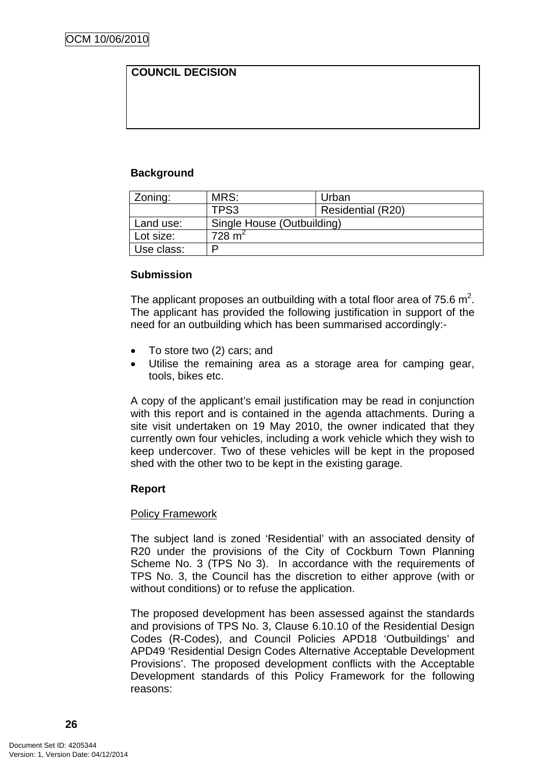## **COUNCIL DECISION**

## **Background**

| Zoning:    | MRS:                       | Urban                    |  |
|------------|----------------------------|--------------------------|--|
|            | TPS3                       | <b>Residential (R20)</b> |  |
| Land use:  | Single House (Outbuilding) |                          |  |
| Lot size:  | 728 m <sup>2</sup>         |                          |  |
| Use class: | D                          |                          |  |

#### **Submission**

The applicant proposes an outbuilding with a total floor area of 75.6  $m^2$ . The applicant has provided the following justification in support of the need for an outbuilding which has been summarised accordingly:-

- To store two (2) cars; and
- Utilise the remaining area as a storage area for camping gear, tools, bikes etc.

A copy of the applicant's email justification may be read in conjunction with this report and is contained in the agenda attachments. During a site visit undertaken on 19 May 2010, the owner indicated that they currently own four vehicles, including a work vehicle which they wish to keep undercover. Two of these vehicles will be kept in the proposed shed with the other two to be kept in the existing garage.

#### **Report**

#### Policy Framework

The subject land is zoned 'Residential' with an associated density of R20 under the provisions of the City of Cockburn Town Planning Scheme No. 3 (TPS No 3). In accordance with the requirements of TPS No. 3, the Council has the discretion to either approve (with or without conditions) or to refuse the application.

The proposed development has been assessed against the standards and provisions of TPS No. 3, Clause 6.10.10 of the Residential Design Codes (R-Codes), and Council Policies APD18 'Outbuildings' and APD49 'Residential Design Codes Alternative Acceptable Development Provisions'. The proposed development conflicts with the Acceptable Development standards of this Policy Framework for the following reasons: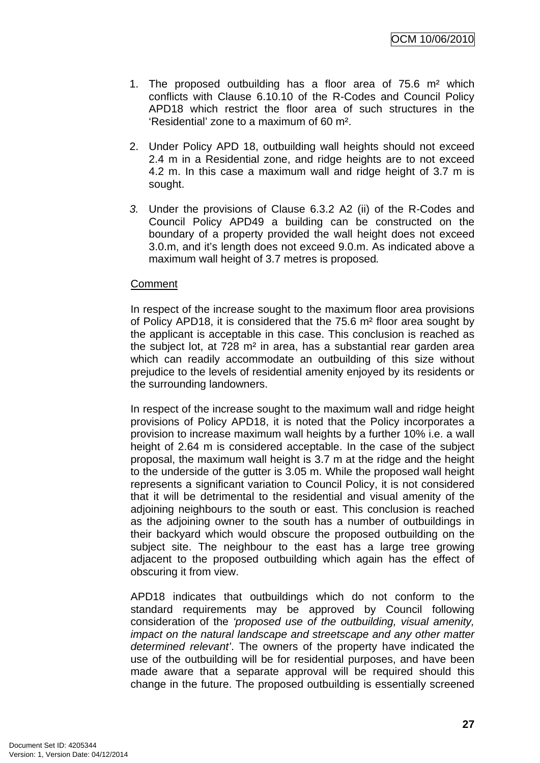- 1. The proposed outbuilding has a floor area of 75.6 m² which conflicts with Clause 6.10.10 of the R-Codes and Council Policy APD18 which restrict the floor area of such structures in the 'Residential' zone to a maximum of 60 m².
- 2. Under Policy APD 18, outbuilding wall heights should not exceed 2.4 m in a Residential zone, and ridge heights are to not exceed 4.2 m. In this case a maximum wall and ridge height of 3.7 m is sought.
- *3.* Under the provisions of Clause 6.3.2 A2 (ii) of the R-Codes and Council Policy APD49 a building can be constructed on the boundary of a property provided the wall height does not exceed 3.0.m, and it's length does not exceed 9.0.m. As indicated above a maximum wall height of 3.7 metres is proposed*.*

#### **Comment**

In respect of the increase sought to the maximum floor area provisions of Policy APD18, it is considered that the 75.6 m² floor area sought by the applicant is acceptable in this case. This conclusion is reached as the subject lot, at 728 m² in area, has a substantial rear garden area which can readily accommodate an outbuilding of this size without prejudice to the levels of residential amenity enjoyed by its residents or the surrounding landowners.

In respect of the increase sought to the maximum wall and ridge height provisions of Policy APD18, it is noted that the Policy incorporates a provision to increase maximum wall heights by a further 10% i.e. a wall height of 2.64 m is considered acceptable. In the case of the subject proposal, the maximum wall height is 3.7 m at the ridge and the height to the underside of the gutter is 3.05 m. While the proposed wall height represents a significant variation to Council Policy, it is not considered that it will be detrimental to the residential and visual amenity of the adjoining neighbours to the south or east. This conclusion is reached as the adjoining owner to the south has a number of outbuildings in their backyard which would obscure the proposed outbuilding on the subject site. The neighbour to the east has a large tree growing adjacent to the proposed outbuilding which again has the effect of obscuring it from view.

APD18 indicates that outbuildings which do not conform to the standard requirements may be approved by Council following consideration of the *'proposed use of the outbuilding, visual amenity, impact on the natural landscape and streetscape and any other matter determined relevant'*. The owners of the property have indicated the use of the outbuilding will be for residential purposes, and have been made aware that a separate approval will be required should this change in the future. The proposed outbuilding is essentially screened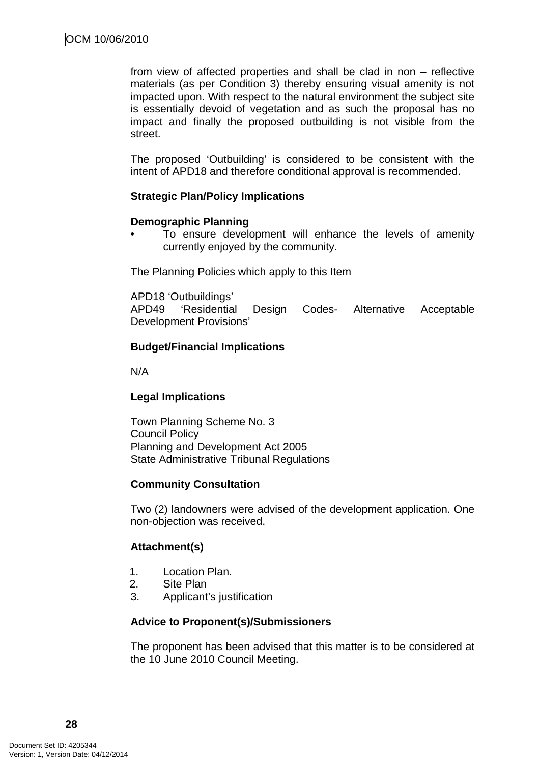from view of affected properties and shall be clad in non – reflective materials (as per Condition 3) thereby ensuring visual amenity is not impacted upon. With respect to the natural environment the subject site is essentially devoid of vegetation and as such the proposal has no impact and finally the proposed outbuilding is not visible from the street.

The proposed 'Outbuilding' is considered to be consistent with the intent of APD18 and therefore conditional approval is recommended.

#### **Strategic Plan/Policy Implications**

#### **Demographic Planning**

To ensure development will enhance the levels of amenity currently enjoyed by the community.

#### The Planning Policies which apply to this Item

APD18 'Outbuildings'

APD49 'Residential Design Codes- Alternative Acceptable Development Provisions'

#### **Budget/Financial Implications**

N/A

#### **Legal Implications**

Town Planning Scheme No. 3 Council Policy Planning and Development Act 2005 State Administrative Tribunal Regulations

#### **Community Consultation**

Two (2) landowners were advised of the development application. One non-objection was received.

#### **Attachment(s)**

- 1. Location Plan.
- 2. Site Plan
- 3. Applicant's justification

#### **Advice to Proponent(s)/Submissioners**

The proponent has been advised that this matter is to be considered at the 10 June 2010 Council Meeting.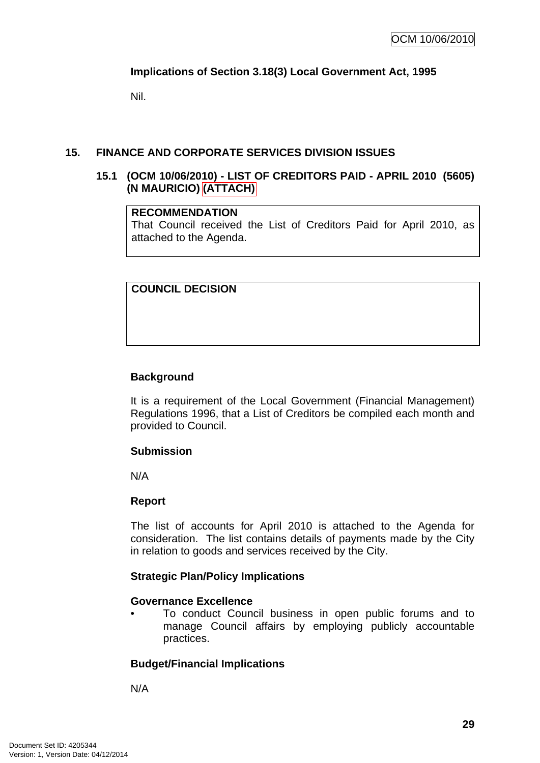## <span id="page-32-0"></span>**Implications of Section 3.18(3) Local Government Act, 1995**

Nil.

## **15. FINANCE AND CORPORATE SERVICES DIVISION ISSUES**

#### **15.1 (OCM 10/06/2010) - LIST OF CREDITORS PAID - APRIL 2010 (5605) (N MAURICIO) (ATTACH)**

#### **RECOMMENDATION**

That Council received the List of Creditors Paid for April 2010, as attached to the Agenda.

## **COUNCIL DECISION**

## **Background**

It is a requirement of the Local Government (Financial Management) Regulations 1996, that a List of Creditors be compiled each month and provided to Council.

#### **Submission**

N/A

#### **Report**

The list of accounts for April 2010 is attached to the Agenda for consideration. The list contains details of payments made by the City in relation to goods and services received by the City.

#### **Strategic Plan/Policy Implications**

#### **Governance Excellence**

• To conduct Council business in open public forums and to manage Council affairs by employing publicly accountable practices.

#### **Budget/Financial Implications**

N/A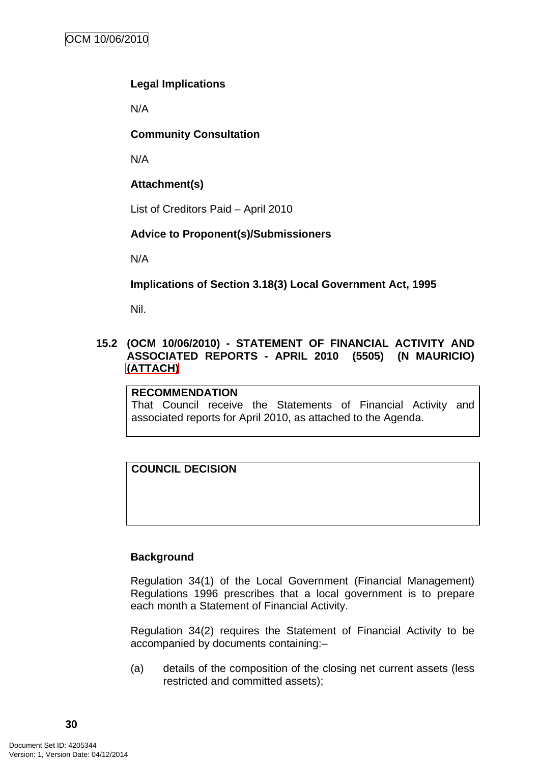## <span id="page-33-0"></span>**Legal Implications**

N/A

## **Community Consultation**

N/A

## **Attachment(s)**

List of Creditors Paid – April 2010

## **Advice to Proponent(s)/Submissioners**

N/A

**Implications of Section 3.18(3) Local Government Act, 1995**

Nil.

## **15.2 (OCM 10/06/2010) - STATEMENT OF FINANCIAL ACTIVITY AND ASSOCIATED REPORTS - APRIL 2010 (5505) (N MAURICIO) (ATTACH)**

#### **RECOMMENDATION**

That Council receive the Statements of Financial Activity and associated reports for April 2010, as attached to the Agenda.

## **COUNCIL DECISION**

## **Background**

Regulation 34(1) of the Local Government (Financial Management) Regulations 1996 prescribes that a local government is to prepare each month a Statement of Financial Activity.

Regulation 34(2) requires the Statement of Financial Activity to be accompanied by documents containing:–

(a) details of the composition of the closing net current assets (less restricted and committed assets);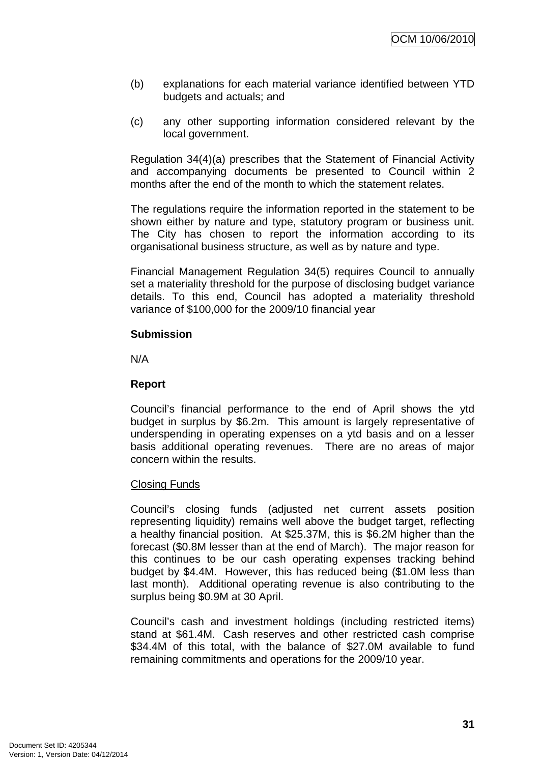- (b) explanations for each material variance identified between YTD budgets and actuals; and
- (c) any other supporting information considered relevant by the local government.

Regulation 34(4)(a) prescribes that the Statement of Financial Activity and accompanying documents be presented to Council within 2 months after the end of the month to which the statement relates.

The regulations require the information reported in the statement to be shown either by nature and type, statutory program or business unit. The City has chosen to report the information according to its organisational business structure, as well as by nature and type.

Financial Management Regulation 34(5) requires Council to annually set a materiality threshold for the purpose of disclosing budget variance details. To this end, Council has adopted a materiality threshold variance of \$100,000 for the 2009/10 financial year

#### **Submission**

N/A

#### **Report**

Council's financial performance to the end of April shows the ytd budget in surplus by \$6.2m. This amount is largely representative of underspending in operating expenses on a ytd basis and on a lesser basis additional operating revenues. There are no areas of major concern within the results.

#### Closing Funds

Council's closing funds (adjusted net current assets position representing liquidity) remains well above the budget target, reflecting a healthy financial position. At \$25.37M, this is \$6.2M higher than the forecast (\$0.8M lesser than at the end of March). The major reason for this continues to be our cash operating expenses tracking behind budget by \$4.4M. However, this has reduced being (\$1.0M less than last month). Additional operating revenue is also contributing to the surplus being \$0.9M at 30 April.

Council's cash and investment holdings (including restricted items) stand at \$61.4M. Cash reserves and other restricted cash comprise \$34.4M of this total, with the balance of \$27.0M available to fund remaining commitments and operations for the 2009/10 year.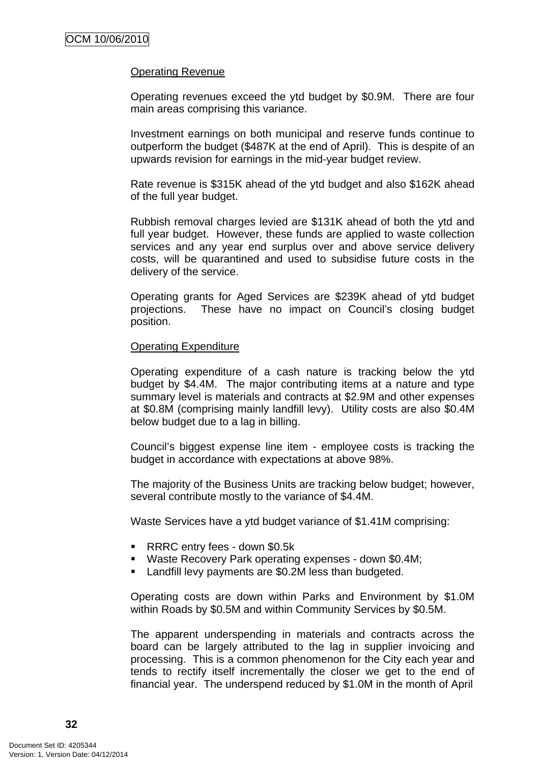#### Operating Revenue

Operating revenues exceed the ytd budget by \$0.9M. There are four main areas comprising this variance.

Investment earnings on both municipal and reserve funds continue to outperform the budget (\$487K at the end of April). This is despite of an upwards revision for earnings in the mid-year budget review.

Rate revenue is \$315K ahead of the ytd budget and also \$162K ahead of the full year budget.

Rubbish removal charges levied are \$131K ahead of both the ytd and full year budget. However, these funds are applied to waste collection services and any year end surplus over and above service delivery costs, will be quarantined and used to subsidise future costs in the delivery of the service.

Operating grants for Aged Services are \$239K ahead of ytd budget projections. These have no impact on Council's closing budget position.

#### Operating Expenditure

Operating expenditure of a cash nature is tracking below the ytd budget by \$4.4M. The major contributing items at a nature and type summary level is materials and contracts at \$2.9M and other expenses at \$0.8M (comprising mainly landfill levy). Utility costs are also \$0.4M below budget due to a lag in billing.

Council's biggest expense line item - employee costs is tracking the budget in accordance with expectations at above 98%.

The majority of the Business Units are tracking below budget; however, several contribute mostly to the variance of \$4.4M.

Waste Services have a ytd budget variance of \$1.41M comprising:

- RRRC entry fees down \$0.5k
- Waste Recovery Park operating expenses down \$0.4M;
- **Landfill levy payments are \$0.2M less than budgeted.**

Operating costs are down within Parks and Environment by \$1.0M within Roads by \$0.5M and within Community Services by \$0.5M.

The apparent underspending in materials and contracts across the board can be largely attributed to the lag in supplier invoicing and processing. This is a common phenomenon for the City each year and tends to rectify itself incrementally the closer we get to the end of financial year. The underspend reduced by \$1.0M in the month of April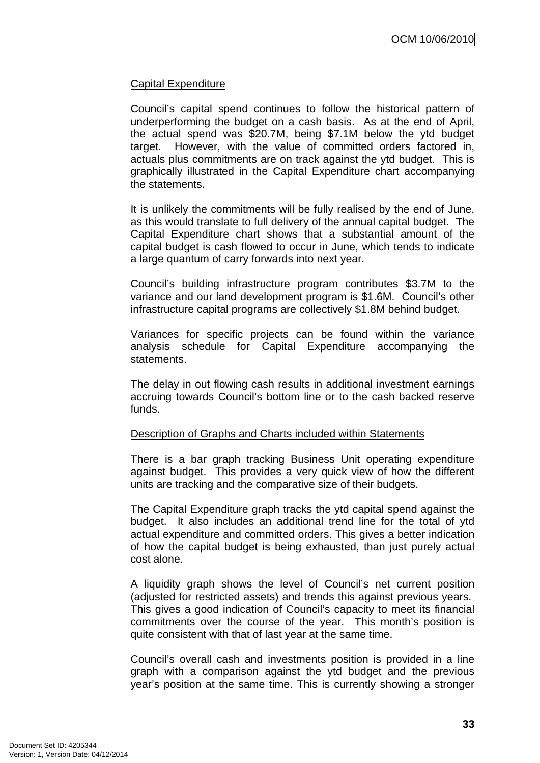#### Capital Expenditure

Council's capital spend continues to follow the historical pattern of underperforming the budget on a cash basis. As at the end of April, the actual spend was \$20.7M, being \$7.1M below the ytd budget target. However, with the value of committed orders factored in, actuals plus commitments are on track against the ytd budget. This is graphically illustrated in the Capital Expenditure chart accompanying the statements.

It is unlikely the commitments will be fully realised by the end of June, as this would translate to full delivery of the annual capital budget. The Capital Expenditure chart shows that a substantial amount of the capital budget is cash flowed to occur in June, which tends to indicate a large quantum of carry forwards into next year.

Council's building infrastructure program contributes \$3.7M to the variance and our land development program is \$1.6M. Council's other infrastructure capital programs are collectively \$1.8M behind budget.

Variances for specific projects can be found within the variance analysis schedule for Capital Expenditure accompanying the statements.

The delay in out flowing cash results in additional investment earnings accruing towards Council's bottom line or to the cash backed reserve funds.

#### Description of Graphs and Charts included within Statements

There is a bar graph tracking Business Unit operating expenditure against budget. This provides a very quick view of how the different units are tracking and the comparative size of their budgets.

The Capital Expenditure graph tracks the ytd capital spend against the budget. It also includes an additional trend line for the total of ytd actual expenditure and committed orders. This gives a better indication of how the capital budget is being exhausted, than just purely actual cost alone.

A liquidity graph shows the level of Council's net current position (adjusted for restricted assets) and trends this against previous years. This gives a good indication of Council's capacity to meet its financial commitments over the course of the year. This month's position is quite consistent with that of last year at the same time.

Council's overall cash and investments position is provided in a line graph with a comparison against the ytd budget and the previous year's position at the same time. This is currently showing a stronger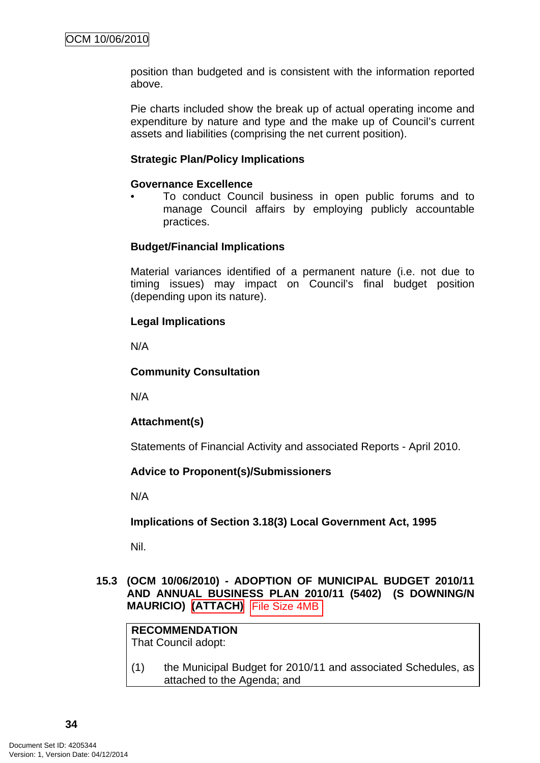<span id="page-37-0"></span>position than budgeted and is consistent with the information reported above.

Pie charts included show the break up of actual operating income and expenditure by nature and type and the make up of Council's current assets and liabilities (comprising the net current position).

#### **Strategic Plan/Policy Implications**

#### **Governance Excellence**

• To conduct Council business in open public forums and to manage Council affairs by employing publicly accountable practices.

#### **Budget/Financial Implications**

Material variances identified of a permanent nature (i.e. not due to timing issues) may impact on Council's final budget position (depending upon its nature).

#### **Legal Implications**

N/A

#### **Community Consultation**

N/A

#### **Attachment(s)**

Statements of Financial Activity and associated Reports - April 2010.

#### **Advice to Proponent(s)/Submissioners**

N/A

#### **Implications of Section 3.18(3) Local Government Act, 1995**

Nil.

#### **15.3 (OCM 10/06/2010) - ADOPTION OF MUNICIPAL BUDGET 2010/11 AND ANNUAL BUSINESS PLAN 2010/11 (5402) (S DOWNING/N MAURICIO) (ATTACH)**

**RECOMMENDATION** That Council adopt:

(1) the Municipal Budget for 2010/11 and associated Schedules, as attached to the Agenda; and MAURICIO) (ATTACH) File Size 4MB<br>
RECOMMENDATION<br>
That Council adopt:<br>
(1) the Municipal Budget for 2010/1<br>
attached to the Agenda; and<br>
34<br>
Document Set ID: 4205344<br>
Version: 1, Version Date: 04/12/2014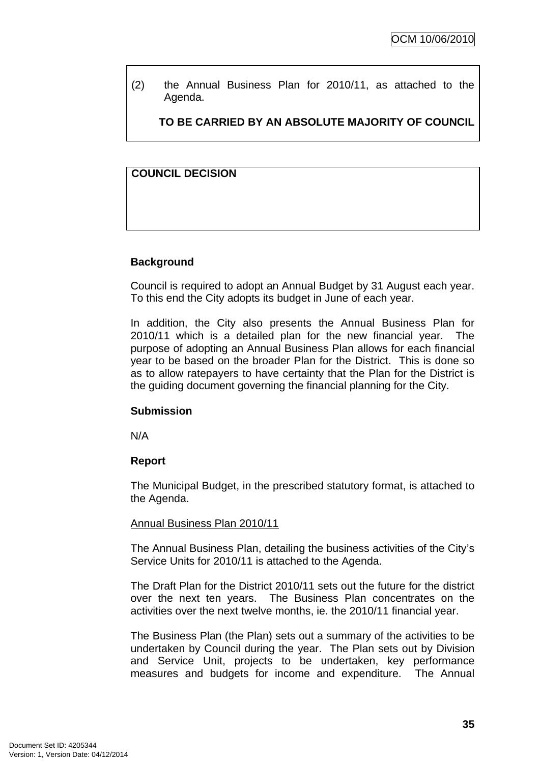(2) the Annual Business Plan for 2010/11, as attached to the Agenda.

**TO BE CARRIED BY AN ABSOLUTE MAJORITY OF COUNCIL**

## **COUNCIL DECISION**

## **Background**

Council is required to adopt an Annual Budget by 31 August each year. To this end the City adopts its budget in June of each year.

In addition, the City also presents the Annual Business Plan for 2010/11 which is a detailed plan for the new financial year. The purpose of adopting an Annual Business Plan allows for each financial year to be based on the broader Plan for the District. This is done so as to allow ratepayers to have certainty that the Plan for the District is the guiding document governing the financial planning for the City.

#### **Submission**

N/A

#### **Report**

The Municipal Budget, in the prescribed statutory format, is attached to the Agenda.

#### Annual Business Plan 2010/11

The Annual Business Plan, detailing the business activities of the City's Service Units for 2010/11 is attached to the Agenda.

The Draft Plan for the District 2010/11 sets out the future for the district over the next ten years. The Business Plan concentrates on the activities over the next twelve months, ie. the 2010/11 financial year.

The Business Plan (the Plan) sets out a summary of the activities to be undertaken by Council during the year. The Plan sets out by Division and Service Unit, projects to be undertaken, key performance measures and budgets for income and expenditure. The Annual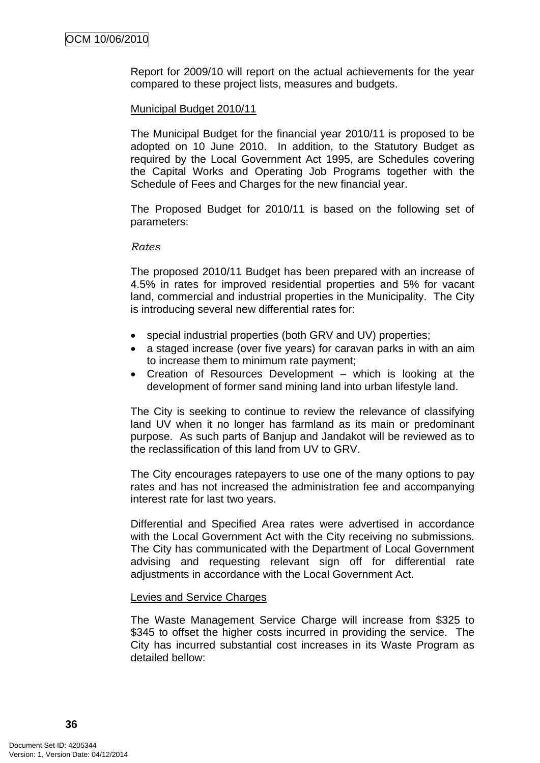Report for 2009/10 will report on the actual achievements for the year compared to these project lists, measures and budgets.

#### Municipal Budget 2010/11

The Municipal Budget for the financial year 2010/11 is proposed to be adopted on 10 June 2010. In addition, to the Statutory Budget as required by the Local Government Act 1995, are Schedules covering the Capital Works and Operating Job Programs together with the Schedule of Fees and Charges for the new financial year.

The Proposed Budget for 2010/11 is based on the following set of parameters:

#### *Rates*

The proposed 2010/11 Budget has been prepared with an increase of 4.5% in rates for improved residential properties and 5% for vacant land, commercial and industrial properties in the Municipality. The City is introducing several new differential rates for:

- special industrial properties (both GRV and UV) properties;
- a staged increase (over five years) for caravan parks in with an aim to increase them to minimum rate payment;
- Creation of Resources Development which is looking at the development of former sand mining land into urban lifestyle land.

The City is seeking to continue to review the relevance of classifying land UV when it no longer has farmland as its main or predominant purpose. As such parts of Banjup and Jandakot will be reviewed as to the reclassification of this land from UV to GRV.

The City encourages ratepayers to use one of the many options to pay rates and has not increased the administration fee and accompanying interest rate for last two years.

Differential and Specified Area rates were advertised in accordance with the Local Government Act with the City receiving no submissions. The City has communicated with the Department of Local Government advising and requesting relevant sign off for differential rate adjustments in accordance with the Local Government Act.

#### Levies and Service Charges

The Waste Management Service Charge will increase from \$325 to \$345 to offset the higher costs incurred in providing the service. The City has incurred substantial cost increases in its Waste Program as detailed bellow: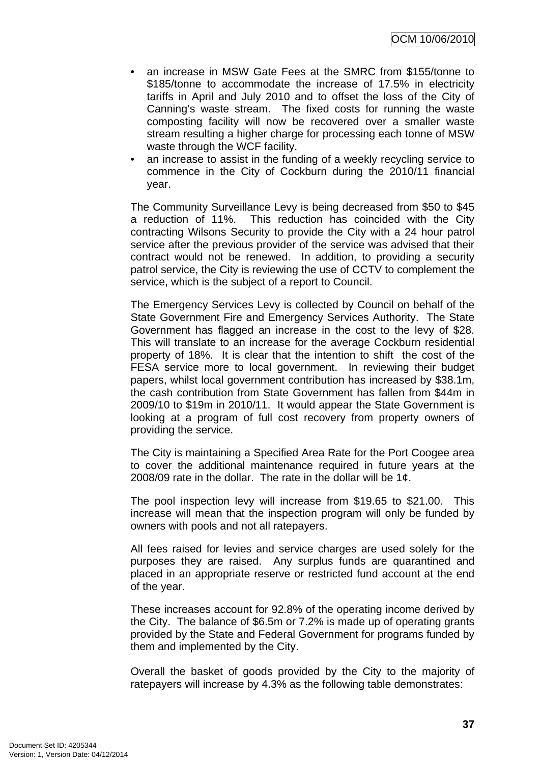OCM 10/06/2010

- an increase in MSW Gate Fees at the SMRC from \$155/tonne to \$185/tonne to accommodate the increase of 17.5% in electricity tariffs in April and July 2010 and to offset the loss of the City of Canning's waste stream. The fixed costs for running the waste composting facility will now be recovered over a smaller waste stream resulting a higher charge for processing each tonne of MSW waste through the WCF facility.
- an increase to assist in the funding of a weekly recycling service to commence in the City of Cockburn during the 2010/11 financial year.

The Community Surveillance Levy is being decreased from \$50 to \$45 a reduction of 11%. This reduction has coincided with the City contracting Wilsons Security to provide the City with a 24 hour patrol service after the previous provider of the service was advised that their contract would not be renewed. In addition, to providing a security patrol service, the City is reviewing the use of CCTV to complement the service, which is the subject of a report to Council.

The Emergency Services Levy is collected by Council on behalf of the State Government Fire and Emergency Services Authority. The State Government has flagged an increase in the cost to the levy of \$28. This will translate to an increase for the average Cockburn residential property of 18%. It is clear that the intention to shift the cost of the FESA service more to local government. In reviewing their budget papers, whilst local government contribution has increased by \$38.1m, the cash contribution from State Government has fallen from \$44m in 2009/10 to \$19m in 2010/11. It would appear the State Government is looking at a program of full cost recovery from property owners of providing the service.

The City is maintaining a Specified Area Rate for the Port Coogee area to cover the additional maintenance required in future years at the 2008/09 rate in the dollar. The rate in the dollar will be 1¢.

The pool inspection levy will increase from \$19.65 to \$21.00. This increase will mean that the inspection program will only be funded by owners with pools and not all ratepayers.

All fees raised for levies and service charges are used solely for the purposes they are raised. Any surplus funds are quarantined and placed in an appropriate reserve or restricted fund account at the end of the year.

These increases account for 92.8% of the operating income derived by the City. The balance of \$6.5m or 7.2% is made up of operating grants provided by the State and Federal Government for programs funded by them and implemented by the City.

Overall the basket of goods provided by the City to the majority of ratepayers will increase by 4.3% as the following table demonstrates: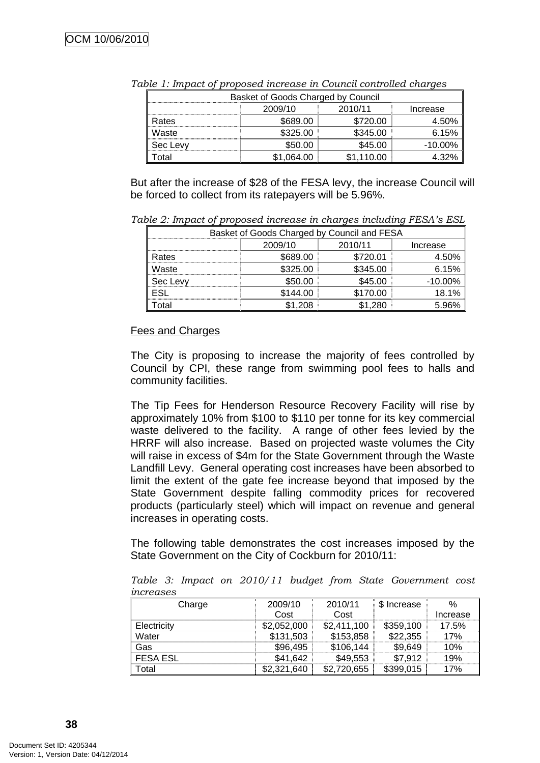| Basket of Goods Charged by Council |          |            |            |  |  |  |
|------------------------------------|----------|------------|------------|--|--|--|
| 2010/11<br>2009/10<br>Increase     |          |            |            |  |  |  |
| Rates                              | \$689.00 | \$720.00   | 4.50%      |  |  |  |
| Waste                              | \$325.00 | \$345.00   | 6.15%      |  |  |  |
| Sec Levv                           | \$50.00  | \$45.00    | $-10.00\%$ |  |  |  |
| otal                               | .064.00  | \$1.110.00 | 4.32%      |  |  |  |

*Table 1: Impact of proposed increase in Council controlled charges* 

But after the increase of \$28 of the FESA levy, the increase Council will be forced to collect from its ratepayers will be 5.96%.

*Table 2: Impact of proposed increase in charges including FESA's ESL* 

| Basket of Goods Charged by Council and FESA |                                |          |            |  |  |  |
|---------------------------------------------|--------------------------------|----------|------------|--|--|--|
|                                             | 2010/11<br>2009/10<br>Increase |          |            |  |  |  |
| Rates                                       | \$689.00                       | \$720.01 | 4.50%      |  |  |  |
| Waste                                       | \$325.00                       | \$345.00 | 6.15%      |  |  |  |
| Sec Levy                                    | \$50.00                        | \$45.00  | $-10.00\%$ |  |  |  |
|                                             | \$144.00                       | \$170.00 | 18.1%      |  |  |  |
| ็ดta                                        | 1.208                          | .280     |            |  |  |  |

## Fees and Charges

The City is proposing to increase the majority of fees controlled by Council by CPI, these range from swimming pool fees to halls and community facilities.

The Tip Fees for Henderson Resource Recovery Facility will rise by approximately 10% from \$100 to \$110 per tonne for its key commercial waste delivered to the facility. A range of other fees levied by the HRRF will also increase. Based on projected waste volumes the City will raise in excess of \$4m for the State Government through the Waste Landfill Levy. General operating cost increases have been absorbed to limit the extent of the gate fee increase beyond that imposed by the State Government despite falling commodity prices for recovered products (particularly steel) which will impact on revenue and general increases in operating costs.

The following table demonstrates the cost increases imposed by the State Government on the City of Cockburn for 2010/11:

*Table 3: Impact on 2010/11 budget from State Government cost increases* 

| Charge          | 2009/10     | 2010/11     | \$ Increase | $\%$     |
|-----------------|-------------|-------------|-------------|----------|
|                 | Cost        | Cost        |             | Increase |
| Electricity     | \$2,052,000 | \$2,411,100 | \$359,100   | 17.5%    |
| Water           | \$131,503   | \$153,858   | \$22,355    | 17%      |
| Gas             | \$96,495    | \$106,144   | \$9,649     | 10%      |
| <b>FESA ESL</b> | \$41,642    | \$49,553    | \$7,912     | 19%      |
| Total           | \$2,321,640 | \$2,720,655 | \$399,015   | 17%      |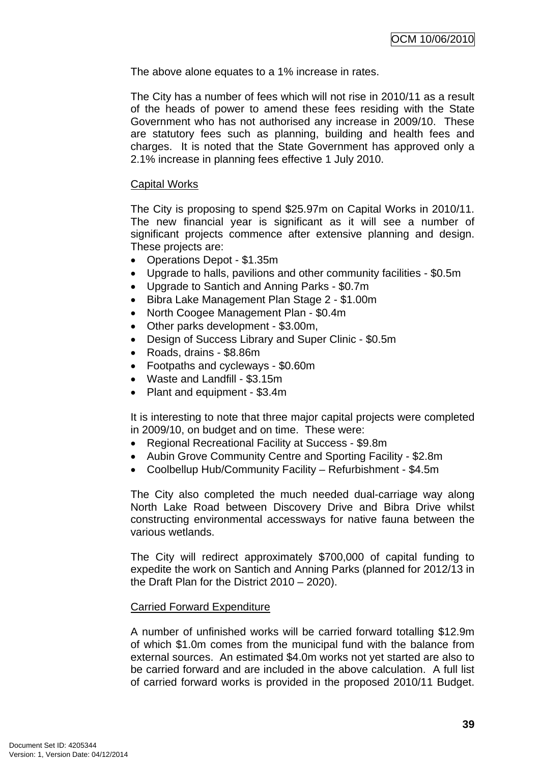The above alone equates to a 1% increase in rates.

The City has a number of fees which will not rise in 2010/11 as a result of the heads of power to amend these fees residing with the State Government who has not authorised any increase in 2009/10. These are statutory fees such as planning, building and health fees and charges. It is noted that the State Government has approved only a 2.1% increase in planning fees effective 1 July 2010.

#### Capital Works

The City is proposing to spend \$25.97m on Capital Works in 2010/11. The new financial year is significant as it will see a number of significant projects commence after extensive planning and design. These projects are:

- Operations Depot \$1.35m
- Upgrade to halls, pavilions and other community facilities \$0.5m
- Upgrade to Santich and Anning Parks \$0.7m
- Bibra Lake Management Plan Stage 2 \$1.00m
- North Coogee Management Plan \$0.4m
- Other parks development \$3.00m,
- Design of Success Library and Super Clinic \$0.5m
- Roads, drains \$8.86m
- Footpaths and cycleways \$0.60m
- Waste and Landfill \$3.15m
- Plant and equipment \$3.4m

It is interesting to note that three major capital projects were completed in 2009/10, on budget and on time. These were:

- Regional Recreational Facility at Success \$9.8m
- Aubin Grove Community Centre and Sporting Facility \$2.8m
- Coolbellup Hub/Community Facility Refurbishment \$4.5m

The City also completed the much needed dual-carriage way along North Lake Road between Discovery Drive and Bibra Drive whilst constructing environmental accessways for native fauna between the various wetlands.

The City will redirect approximately \$700,000 of capital funding to expedite the work on Santich and Anning Parks (planned for 2012/13 in the Draft Plan for the District 2010 – 2020).

#### Carried Forward Expenditure

A number of unfinished works will be carried forward totalling \$12.9m of which \$1.0m comes from the municipal fund with the balance from external sources. An estimated \$4.0m works not yet started are also to be carried forward and are included in the above calculation. A full list of carried forward works is provided in the proposed 2010/11 Budget.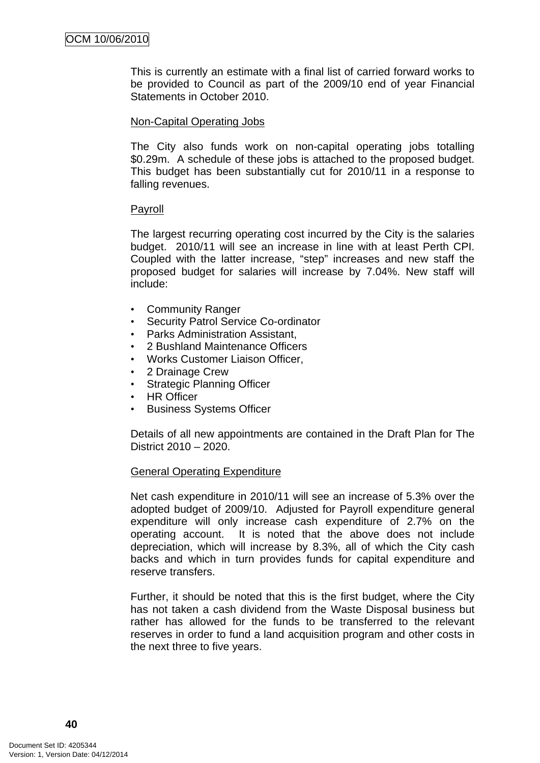This is currently an estimate with a final list of carried forward works to be provided to Council as part of the 2009/10 end of year Financial Statements in October 2010.

#### Non-Capital Operating Jobs

The City also funds work on non-capital operating jobs totalling \$0.29m. A schedule of these jobs is attached to the proposed budget. This budget has been substantially cut for 2010/11 in a response to falling revenues.

#### Payroll

The largest recurring operating cost incurred by the City is the salaries budget. 2010/11 will see an increase in line with at least Perth CPI. Coupled with the latter increase, "step" increases and new staff the proposed budget for salaries will increase by 7.04%. New staff will include:

- Community Ranger
- Security Patrol Service Co-ordinator
- Parks Administration Assistant,
- 2 Bushland Maintenance Officers
- Works Customer Liaison Officer,
- 2 Drainage Crew
- Strategic Planning Officer
- HR Officer
- Business Systems Officer

Details of all new appointments are contained in the Draft Plan for The District 2010 – 2020.

#### General Operating Expenditure

Net cash expenditure in 2010/11 will see an increase of 5.3% over the adopted budget of 2009/10. Adjusted for Payroll expenditure general expenditure will only increase cash expenditure of 2.7% on the operating account. It is noted that the above does not include depreciation, which will increase by 8.3%, all of which the City cash backs and which in turn provides funds for capital expenditure and reserve transfers.

Further, it should be noted that this is the first budget, where the City has not taken a cash dividend from the Waste Disposal business but rather has allowed for the funds to be transferred to the relevant reserves in order to fund a land acquisition program and other costs in the next three to five years.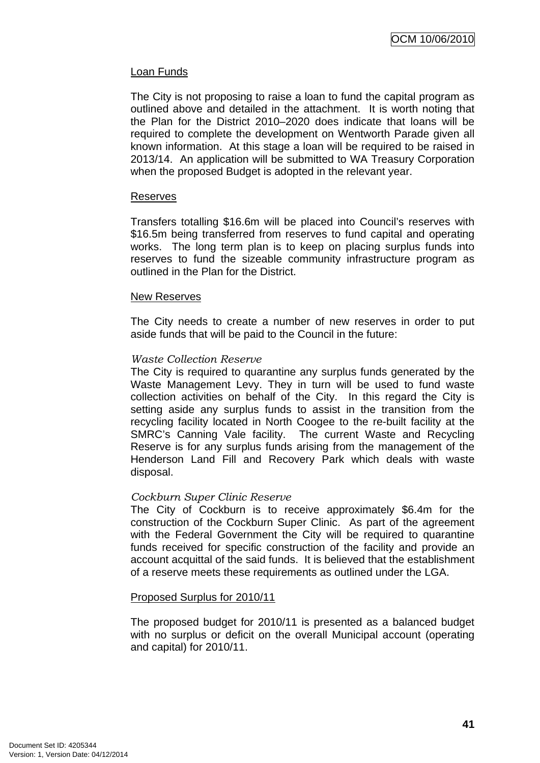#### Loan Funds

The City is not proposing to raise a loan to fund the capital program as outlined above and detailed in the attachment. It is worth noting that the Plan for the District 2010–2020 does indicate that loans will be required to complete the development on Wentworth Parade given all known information. At this stage a loan will be required to be raised in 2013/14. An application will be submitted to WA Treasury Corporation when the proposed Budget is adopted in the relevant year.

#### Reserves

Transfers totalling \$16.6m will be placed into Council's reserves with \$16.5m being transferred from reserves to fund capital and operating works. The long term plan is to keep on placing surplus funds into reserves to fund the sizeable community infrastructure program as outlined in the Plan for the District.

#### New Reserves

The City needs to create a number of new reserves in order to put aside funds that will be paid to the Council in the future:

#### *Waste Collection Reserve*

The City is required to quarantine any surplus funds generated by the Waste Management Levy. They in turn will be used to fund waste collection activities on behalf of the City. In this regard the City is setting aside any surplus funds to assist in the transition from the recycling facility located in North Coogee to the re-built facility at the SMRC's Canning Vale facility. The current Waste and Recycling Reserve is for any surplus funds arising from the management of the Henderson Land Fill and Recovery Park which deals with waste disposal.

#### *Cockburn Super Clinic Reserve*

The City of Cockburn is to receive approximately \$6.4m for the construction of the Cockburn Super Clinic. As part of the agreement with the Federal Government the City will be required to quarantine funds received for specific construction of the facility and provide an account acquittal of the said funds. It is believed that the establishment of a reserve meets these requirements as outlined under the LGA.

#### Proposed Surplus for 2010/11

The proposed budget for 2010/11 is presented as a balanced budget with no surplus or deficit on the overall Municipal account (operating and capital) for 2010/11.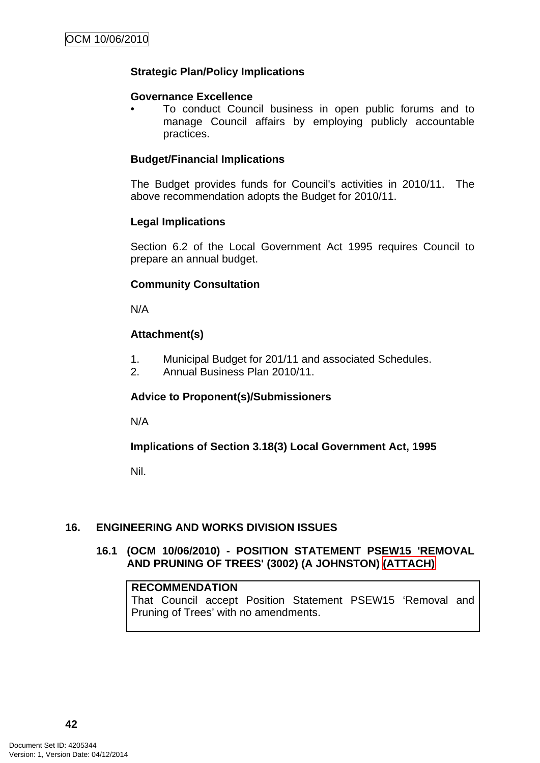## <span id="page-45-0"></span>**Strategic Plan/Policy Implications**

#### **Governance Excellence**

• To conduct Council business in open public forums and to manage Council affairs by employing publicly accountable practices.

#### **Budget/Financial Implications**

The Budget provides funds for Council's activities in 2010/11. The above recommendation adopts the Budget for 2010/11.

#### **Legal Implications**

Section 6.2 of the Local Government Act 1995 requires Council to prepare an annual budget.

#### **Community Consultation**

N/A

## **Attachment(s)**

- 1. Municipal Budget for 201/11 and associated Schedules.
- 2. Annual Business Plan 2010/11.

#### **Advice to Proponent(s)/Submissioners**

N/A

#### **Implications of Section 3.18(3) Local Government Act, 1995**

Nil.

## **16. ENGINEERING AND WORKS DIVISION ISSUES**

## **16.1 (OCM 10/06/2010) - POSITION STATEMENT PSEW15 'REMOVAL AND PRUNING OF TREES' (3002) (A JOHNSTON) (ATTACH)**

#### **RECOMMENDATION**

That Council accept Position Statement PSEW15 'Removal and Pruning of Trees' with no amendments.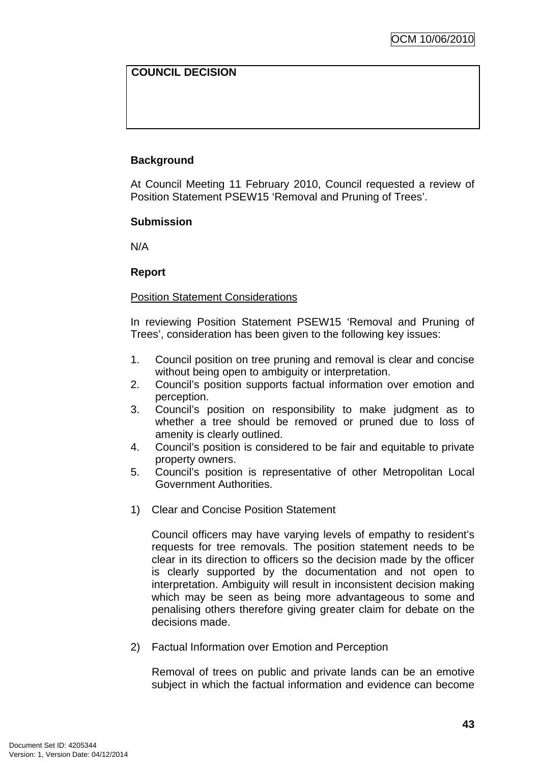## **COUNCIL DECISION**

## **Background**

At Council Meeting 11 February 2010, Council requested a review of Position Statement PSEW15 'Removal and Pruning of Trees'.

#### **Submission**

N/A

#### **Report**

## Position Statement Considerations

In reviewing Position Statement PSEW15 'Removal and Pruning of Trees', consideration has been given to the following key issues:

- 1. Council position on tree pruning and removal is clear and concise without being open to ambiguity or interpretation.
- 2. Council's position supports factual information over emotion and perception.
- 3. Council's position on responsibility to make judgment as to whether a tree should be removed or pruned due to loss of amenity is clearly outlined.
- 4. Council's position is considered to be fair and equitable to private property owners.
- 5. Council's position is representative of other Metropolitan Local Government Authorities.
- 1) Clear and Concise Position Statement

Council officers may have varying levels of empathy to resident's requests for tree removals. The position statement needs to be clear in its direction to officers so the decision made by the officer is clearly supported by the documentation and not open to interpretation. Ambiguity will result in inconsistent decision making which may be seen as being more advantageous to some and penalising others therefore giving greater claim for debate on the decisions made.

2) Factual Information over Emotion and Perception

Removal of trees on public and private lands can be an emotive subject in which the factual information and evidence can become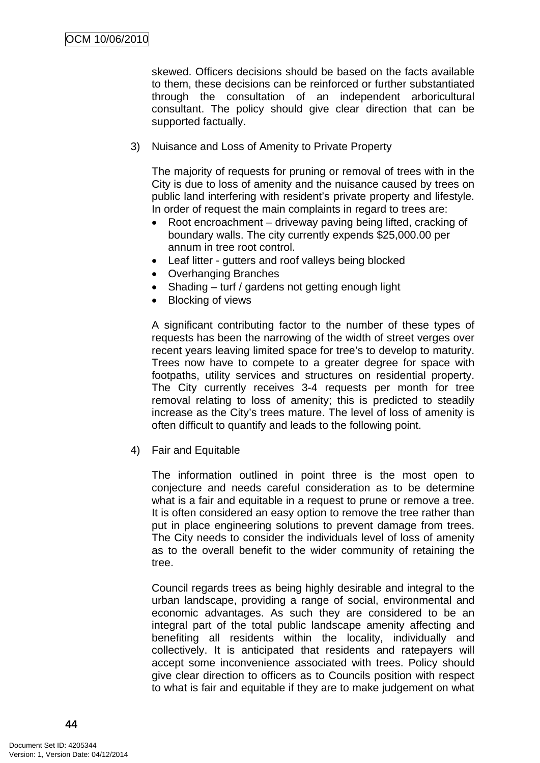skewed. Officers decisions should be based on the facts available to them, these decisions can be reinforced or further substantiated through the consultation of an independent arboricultural consultant. The policy should give clear direction that can be supported factually.

3) Nuisance and Loss of Amenity to Private Property

The majority of requests for pruning or removal of trees with in the City is due to loss of amenity and the nuisance caused by trees on public land interfering with resident's private property and lifestyle. In order of request the main complaints in regard to trees are:

- Root encroachment driveway paving being lifted, cracking of boundary walls. The city currently expends \$25,000.00 per annum in tree root control.
- Leaf litter gutters and roof valleys being blocked
- Overhanging Branches
- Shading turf / gardens not getting enough light
- Blocking of views

A significant contributing factor to the number of these types of requests has been the narrowing of the width of street verges over recent years leaving limited space for tree's to develop to maturity. Trees now have to compete to a greater degree for space with footpaths, utility services and structures on residential property. The City currently receives 3-4 requests per month for tree removal relating to loss of amenity; this is predicted to steadily increase as the City's trees mature. The level of loss of amenity is often difficult to quantify and leads to the following point.

4) Fair and Equitable

The information outlined in point three is the most open to conjecture and needs careful consideration as to be determine what is a fair and equitable in a request to prune or remove a tree. It is often considered an easy option to remove the tree rather than put in place engineering solutions to prevent damage from trees. The City needs to consider the individuals level of loss of amenity as to the overall benefit to the wider community of retaining the tree.

Council regards trees as being highly desirable and integral to the urban landscape, providing a range of social, environmental and economic advantages. As such they are considered to be an integral part of the total public landscape amenity affecting and benefiting all residents within the locality, individually and collectively. It is anticipated that residents and ratepayers will accept some inconvenience associated with trees. Policy should give clear direction to officers as to Councils position with respect to what is fair and equitable if they are to make judgement on what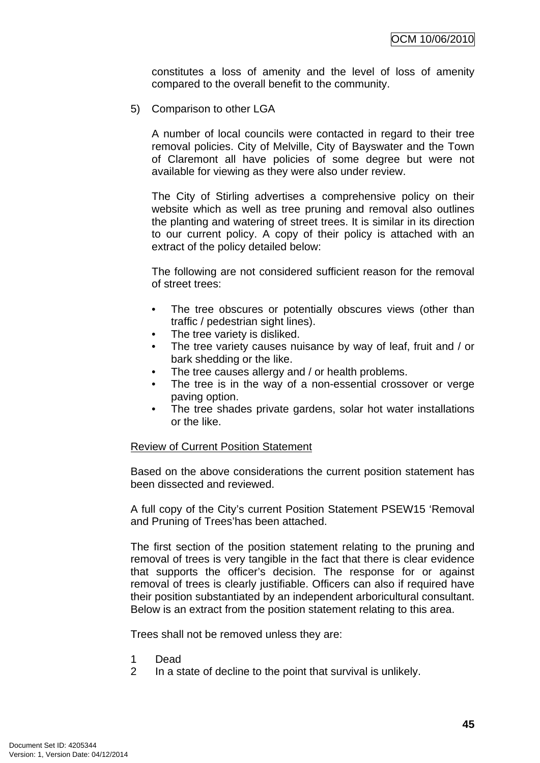constitutes a loss of amenity and the level of loss of amenity compared to the overall benefit to the community.

5) Comparison to other LGA

A number of local councils were contacted in regard to their tree removal policies. City of Melville, City of Bayswater and the Town of Claremont all have policies of some degree but were not available for viewing as they were also under review.

The City of Stirling advertises a comprehensive policy on their website which as well as tree pruning and removal also outlines the planting and watering of street trees. It is similar in its direction to our current policy. A copy of their policy is attached with an extract of the policy detailed below:

The following are not considered sufficient reason for the removal of street trees:

- The tree obscures or potentially obscures views (other than traffic / pedestrian sight lines).
- The tree variety is disliked.
- The tree variety causes nuisance by way of leaf, fruit and / or bark shedding or the like.
- The tree causes allergy and / or health problems.
- The tree is in the way of a non-essential crossover or verge paving option.
- The tree shades private gardens, solar hot water installations or the like.

#### Review of Current Position Statement

Based on the above considerations the current position statement has been dissected and reviewed.

A full copy of the City's current Position Statement PSEW15 'Removal and Pruning of Trees'has been attached.

The first section of the position statement relating to the pruning and removal of trees is very tangible in the fact that there is clear evidence that supports the officer's decision. The response for or against removal of trees is clearly justifiable. Officers can also if required have their position substantiated by an independent arboricultural consultant. Below is an extract from the position statement relating to this area.

Trees shall not be removed unless they are:

- 1 Dead
- 2 In a state of decline to the point that survival is unlikely.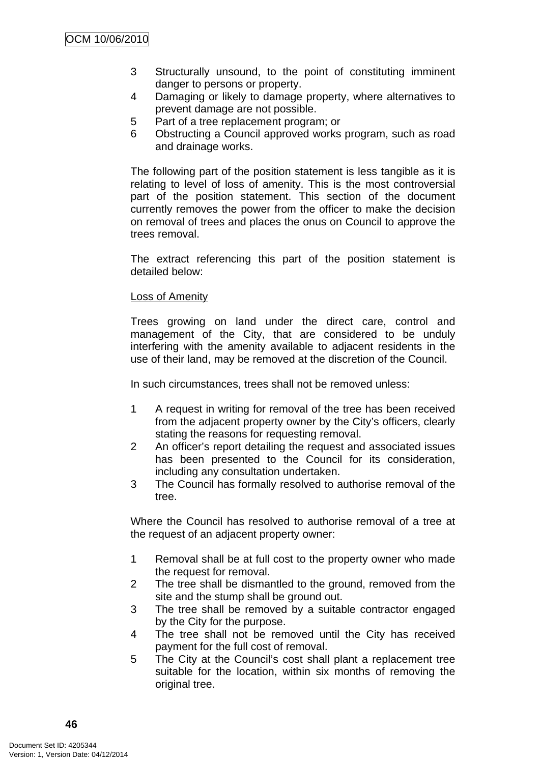- 3 Structurally unsound, to the point of constituting imminent danger to persons or property.
- 4 Damaging or likely to damage property, where alternatives to prevent damage are not possible.
- 5 Part of a tree replacement program; or
- 6 Obstructing a Council approved works program, such as road and drainage works.

The following part of the position statement is less tangible as it is relating to level of loss of amenity. This is the most controversial part of the position statement. This section of the document currently removes the power from the officer to make the decision on removal of trees and places the onus on Council to approve the trees removal.

The extract referencing this part of the position statement is detailed below:

#### Loss of Amenity

Trees growing on land under the direct care, control and management of the City, that are considered to be unduly interfering with the amenity available to adjacent residents in the use of their land, may be removed at the discretion of the Council.

In such circumstances, trees shall not be removed unless:

- 1 A request in writing for removal of the tree has been received from the adjacent property owner by the City's officers, clearly stating the reasons for requesting removal.
- 2 An officer's report detailing the request and associated issues has been presented to the Council for its consideration, including any consultation undertaken.
- 3 The Council has formally resolved to authorise removal of the tree.

Where the Council has resolved to authorise removal of a tree at the request of an adjacent property owner:

- 1 Removal shall be at full cost to the property owner who made the request for removal.
- 2 The tree shall be dismantled to the ground, removed from the site and the stump shall be ground out.
- 3 The tree shall be removed by a suitable contractor engaged by the City for the purpose.
- 4 The tree shall not be removed until the City has received payment for the full cost of removal.
- 5 The City at the Council's cost shall plant a replacement tree suitable for the location, within six months of removing the original tree.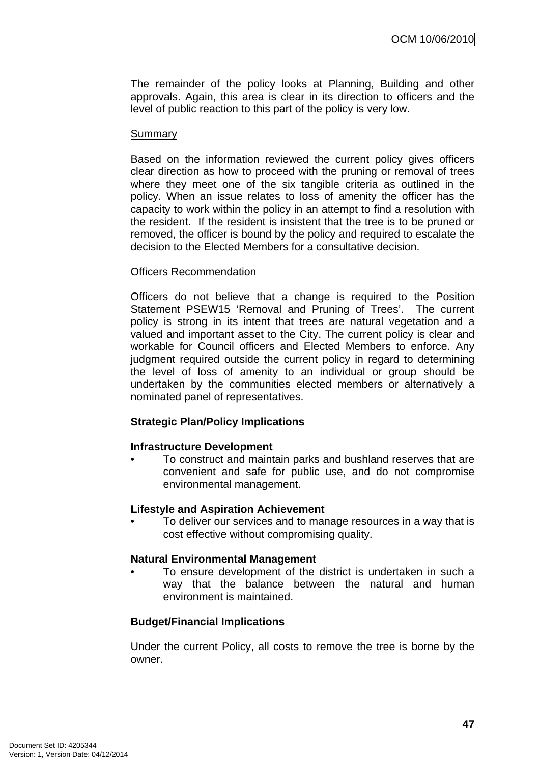The remainder of the policy looks at Planning, Building and other approvals. Again, this area is clear in its direction to officers and the level of public reaction to this part of the policy is very low.

#### **Summary**

Based on the information reviewed the current policy gives officers clear direction as how to proceed with the pruning or removal of trees where they meet one of the six tangible criteria as outlined in the policy. When an issue relates to loss of amenity the officer has the capacity to work within the policy in an attempt to find a resolution with the resident. If the resident is insistent that the tree is to be pruned or removed, the officer is bound by the policy and required to escalate the decision to the Elected Members for a consultative decision.

#### Officers Recommendation

Officers do not believe that a change is required to the Position Statement PSEW15 'Removal and Pruning of Trees'. The current policy is strong in its intent that trees are natural vegetation and a valued and important asset to the City. The current policy is clear and workable for Council officers and Elected Members to enforce. Any judgment required outside the current policy in regard to determining the level of loss of amenity to an individual or group should be undertaken by the communities elected members or alternatively a nominated panel of representatives.

#### **Strategic Plan/Policy Implications**

#### **Infrastructure Development**

• To construct and maintain parks and bushland reserves that are convenient and safe for public use, and do not compromise environmental management.

#### **Lifestyle and Aspiration Achievement**

• To deliver our services and to manage resources in a way that is cost effective without compromising quality.

#### **Natural Environmental Management**

To ensure development of the district is undertaken in such a way that the balance between the natural and human environment is maintained.

#### **Budget/Financial Implications**

Under the current Policy, all costs to remove the tree is borne by the owner.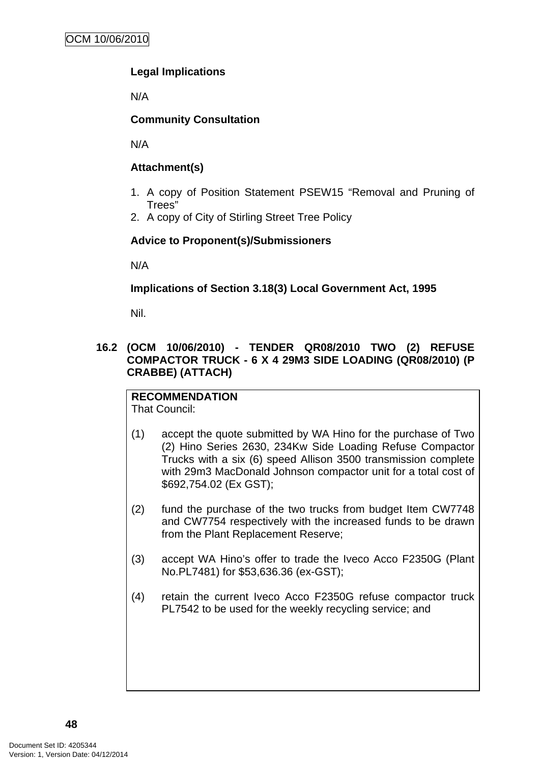## <span id="page-51-0"></span>**Legal Implications**

N/A

## **Community Consultation**

N/A

## **Attachment(s)**

- 1. A copy of Position Statement PSEW15 "Removal and Pruning of Trees"
- 2. A copy of City of Stirling Street Tree Policy

## **Advice to Proponent(s)/Submissioners**

N/A

**Implications of Section 3.18(3) Local Government Act, 1995**

Nil.

## **16.2 (OCM 10/06/2010) - TENDER QR08/2010 TWO (2) REFUSE COMPACTOR TRUCK - 6 X 4 29M3 SIDE LOADING (QR08/2010) (P CRABBE) (ATTACH)**

**RECOMMENDATION** That Council:

- (1) accept the quote submitted by WA Hino for the purchase of Two (2) Hino Series 2630, 234Kw Side Loading Refuse Compactor Trucks with a six (6) speed Allison 3500 transmission complete with 29m3 MacDonald Johnson compactor unit for a total cost of \$692,754.02 (Ex GST);
- (2) fund the purchase of the two trucks from budget Item CW7748 and CW7754 respectively with the increased funds to be drawn from the Plant Replacement Reserve;
- (3) accept WA Hino's offer to trade the Iveco Acco F2350G (Plant No.PL7481) for \$53,636.36 (ex-GST);
- (4) retain the current Iveco Acco F2350G refuse compactor truck PL7542 to be used for the weekly recycling service; and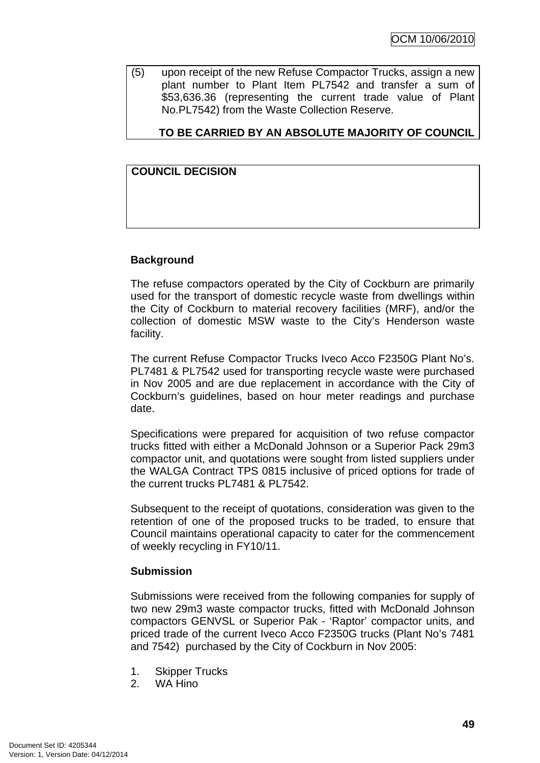(5) upon receipt of the new Refuse Compactor Trucks, assign a new plant number to Plant Item PL7542 and transfer a sum of \$53,636.36 (representing the current trade value of Plant No.PL7542) from the Waste Collection Reserve.

## **TO BE CARRIED BY AN ABSOLUTE MAJORITY OF COUNCIL**

## **COUNCIL DECISION**

#### **Background**

The refuse compactors operated by the City of Cockburn are primarily used for the transport of domestic recycle waste from dwellings within the City of Cockburn to material recovery facilities (MRF), and/or the collection of domestic MSW waste to the City's Henderson waste facility.

The current Refuse Compactor Trucks Iveco Acco F2350G Plant No's. PL7481 & PL7542 used for transporting recycle waste were purchased in Nov 2005 and are due replacement in accordance with the City of Cockburn's guidelines, based on hour meter readings and purchase date.

Specifications were prepared for acquisition of two refuse compactor trucks fitted with either a McDonald Johnson or a Superior Pack 29m3 compactor unit, and quotations were sought from listed suppliers under the WALGA Contract TPS 0815 inclusive of priced options for trade of the current trucks PL7481 & PL7542.

Subsequent to the receipt of quotations, consideration was given to the retention of one of the proposed trucks to be traded, to ensure that Council maintains operational capacity to cater for the commencement of weekly recycling in FY10/11.

#### **Submission**

Submissions were received from the following companies for supply of two new 29m3 waste compactor trucks, fitted with McDonald Johnson compactors GENVSL or Superior Pak - 'Raptor' compactor units, and priced trade of the current Iveco Acco F2350G trucks (Plant No's 7481 and 7542) purchased by the City of Cockburn in Nov 2005:

- 1. Skipper Trucks
- 2. WA Hino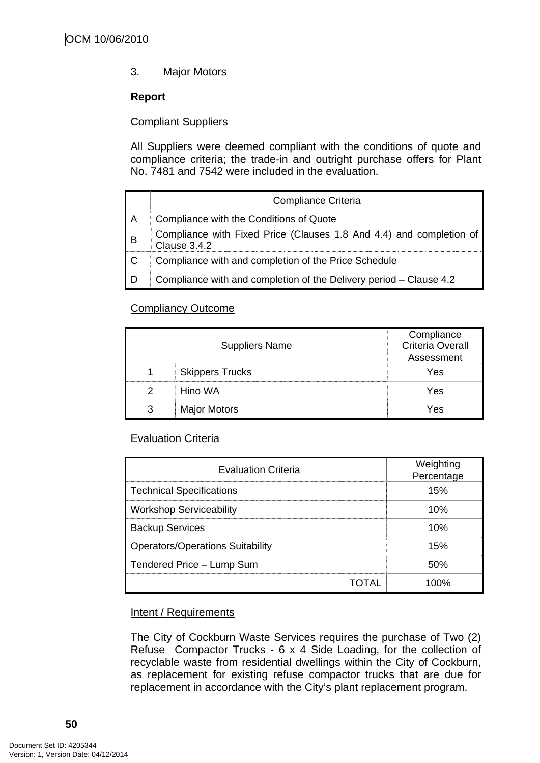## 3. Major Motors

#### **Report**

#### Compliant Suppliers

All Suppliers were deemed compliant with the conditions of quote and compliance criteria; the trade-in and outright purchase offers for Plant No. 7481 and 7542 were included in the evaluation.

|   | Compliance Criteria                                                                 |
|---|-------------------------------------------------------------------------------------|
| А | Compliance with the Conditions of Quote                                             |
| B | Compliance with Fixed Price (Clauses 1.8 And 4.4) and completion of<br>Clause 3.4.2 |
|   | Compliance with and completion of the Price Schedule                                |
|   | Compliance with and completion of the Delivery period - Clause 4.2                  |

#### Compliancy Outcome

|   | <b>Suppliers Name</b>  | Compliance<br><b>Criteria Overall</b><br>Assessment |
|---|------------------------|-----------------------------------------------------|
|   | <b>Skippers Trucks</b> | Yes                                                 |
|   | Hino WA                | Yes                                                 |
| ว | <b>Major Motors</b>    | Yes                                                 |

#### Evaluation Criteria

| <b>Evaluation Criteria</b>       | Weighting<br>Percentage |  |
|----------------------------------|-------------------------|--|
| Technical Specifications         | 15%                     |  |
| Workshop Serviceability          | 10%                     |  |
| <b>Backup Services</b>           | 10%                     |  |
| Operators/Operations Suitability | 15%                     |  |
| Tendered Price - Lump Sum        | 50%                     |  |
| TOTAL                            | 100%                    |  |

#### Intent / Requirements

The City of Cockburn Waste Services requires the purchase of Two (2) Refuse Compactor Trucks - 6 x 4 Side Loading, for the collection of recyclable waste from residential dwellings within the City of Cockburn, as replacement for existing refuse compactor trucks that are due for replacement in accordance with the City's plant replacement program.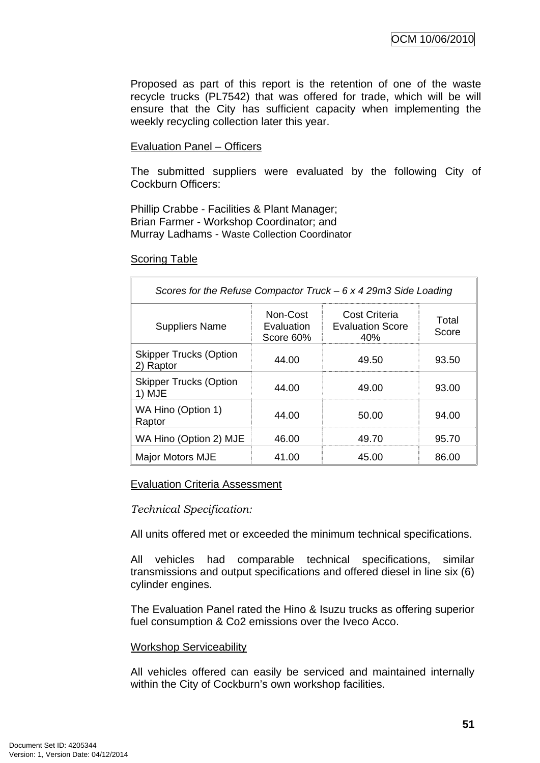Proposed as part of this report is the retention of one of the waste recycle trucks (PL7542) that was offered for trade, which will be will ensure that the City has sufficient capacity when implementing the weekly recycling collection later this year.

#### Evaluation Panel – Officers

The submitted suppliers were evaluated by the following City of Cockburn Officers:

Phillip Crabbe - Facilities & Plant Manager; Brian Farmer - Workshop Coordinator; and Murray Ladhams - Waste Collection Coordinator

#### Scoring Table

| Scores for the Refuse Compactor Truck $-6x429m3$ Side Loading |                                     |                                                 |                |  |
|---------------------------------------------------------------|-------------------------------------|-------------------------------------------------|----------------|--|
| <b>Suppliers Name</b>                                         | Non-Cost<br>Evaluation<br>Score 60% | Cost Criteria<br><b>Evaluation Score</b><br>40% | Total<br>Score |  |
| <b>Skipper Trucks (Option</b><br>2) Raptor                    | 44.00                               | 49.50                                           | 93.50          |  |
| <b>Skipper Trucks (Option</b><br>1) MJE                       | 44.00                               | 49.00                                           | 93.00          |  |
| WA Hino (Option 1)<br>Raptor                                  | 44.00                               | 50.00                                           | 94.00          |  |
| WA Hino (Option 2) MJE                                        | 46.00                               | 49.70                                           | 95.70          |  |
| Major Motors MJE                                              | 41.00                               | 45.00                                           | 86.00          |  |

#### Evaluation Criteria Assessment

#### *Technical Specification:*

All units offered met or exceeded the minimum technical specifications.

All vehicles had comparable technical specifications, similar transmissions and output specifications and offered diesel in line six (6) cylinder engines.

The Evaluation Panel rated the Hino & Isuzu trucks as offering superior fuel consumption & Co2 emissions over the Iveco Acco.

#### Workshop Serviceability

All vehicles offered can easily be serviced and maintained internally within the City of Cockburn's own workshop facilities.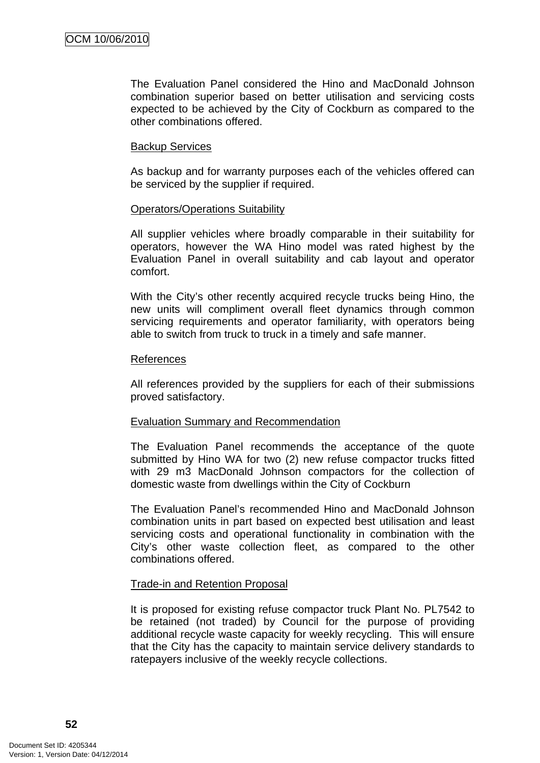The Evaluation Panel considered the Hino and MacDonald Johnson combination superior based on better utilisation and servicing costs expected to be achieved by the City of Cockburn as compared to the other combinations offered.

#### Backup Services

As backup and for warranty purposes each of the vehicles offered can be serviced by the supplier if required.

#### Operators/Operations Suitability

All supplier vehicles where broadly comparable in their suitability for operators, however the WA Hino model was rated highest by the Evaluation Panel in overall suitability and cab layout and operator comfort.

With the City's other recently acquired recycle trucks being Hino, the new units will compliment overall fleet dynamics through common servicing requirements and operator familiarity, with operators being able to switch from truck to truck in a timely and safe manner.

#### References

All references provided by the suppliers for each of their submissions proved satisfactory.

#### Evaluation Summary and Recommendation

The Evaluation Panel recommends the acceptance of the quote submitted by Hino WA for two (2) new refuse compactor trucks fitted with 29 m3 MacDonald Johnson compactors for the collection of domestic waste from dwellings within the City of Cockburn

The Evaluation Panel's recommended Hino and MacDonald Johnson combination units in part based on expected best utilisation and least servicing costs and operational functionality in combination with the City's other waste collection fleet, as compared to the other combinations offered.

#### Trade-in and Retention Proposal

It is proposed for existing refuse compactor truck Plant No. PL7542 to be retained (not traded) by Council for the purpose of providing additional recycle waste capacity for weekly recycling. This will ensure that the City has the capacity to maintain service delivery standards to ratepayers inclusive of the weekly recycle collections.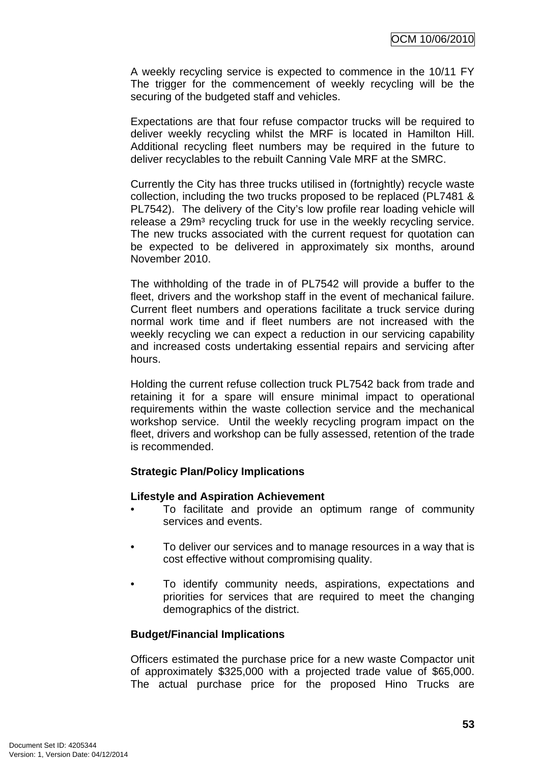A weekly recycling service is expected to commence in the 10/11 FY The trigger for the commencement of weekly recycling will be the securing of the budgeted staff and vehicles.

Expectations are that four refuse compactor trucks will be required to deliver weekly recycling whilst the MRF is located in Hamilton Hill. Additional recycling fleet numbers may be required in the future to deliver recyclables to the rebuilt Canning Vale MRF at the SMRC.

Currently the City has three trucks utilised in (fortnightly) recycle waste collection, including the two trucks proposed to be replaced (PL7481 & PL7542). The delivery of the City's low profile rear loading vehicle will release a 29m<sup>3</sup> recycling truck for use in the weekly recycling service. The new trucks associated with the current request for quotation can be expected to be delivered in approximately six months, around November 2010.

The withholding of the trade in of PL7542 will provide a buffer to the fleet, drivers and the workshop staff in the event of mechanical failure. Current fleet numbers and operations facilitate a truck service during normal work time and if fleet numbers are not increased with the weekly recycling we can expect a reduction in our servicing capability and increased costs undertaking essential repairs and servicing after hours.

Holding the current refuse collection truck PL7542 back from trade and retaining it for a spare will ensure minimal impact to operational requirements within the waste collection service and the mechanical workshop service. Until the weekly recycling program impact on the fleet, drivers and workshop can be fully assessed, retention of the trade is recommended.

#### **Strategic Plan/Policy Implications**

#### **Lifestyle and Aspiration Achievement**

- To facilitate and provide an optimum range of community services and events.
- To deliver our services and to manage resources in a way that is cost effective without compromising quality.
- To identify community needs, aspirations, expectations and priorities for services that are required to meet the changing demographics of the district.

#### **Budget/Financial Implications**

Officers estimated the purchase price for a new waste Compactor unit of approximately \$325,000 with a projected trade value of \$65,000. The actual purchase price for the proposed Hino Trucks are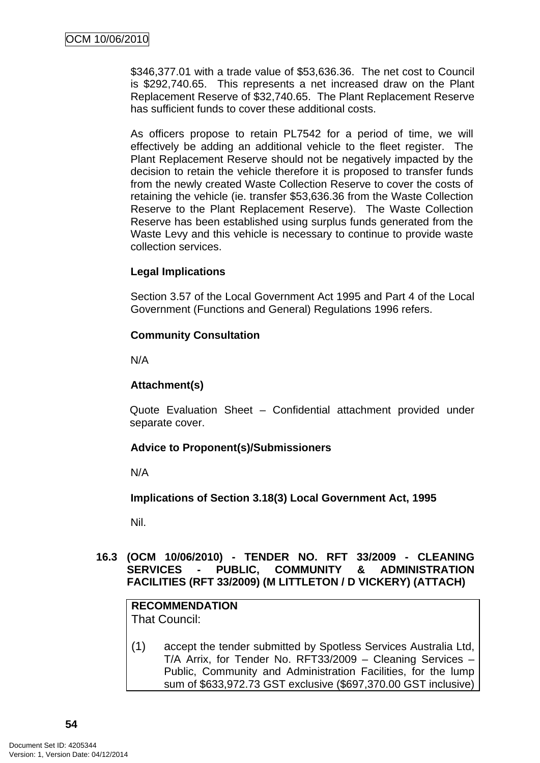<span id="page-57-0"></span>\$346,377.01 with a trade value of \$53,636.36. The net cost to Council is \$292,740.65. This represents a net increased draw on the Plant Replacement Reserve of \$32,740.65. The Plant Replacement Reserve has sufficient funds to cover these additional costs.

As officers propose to retain PL7542 for a period of time, we will effectively be adding an additional vehicle to the fleet register. The Plant Replacement Reserve should not be negatively impacted by the decision to retain the vehicle therefore it is proposed to transfer funds from the newly created Waste Collection Reserve to cover the costs of retaining the vehicle (ie. transfer \$53,636.36 from the Waste Collection Reserve to the Plant Replacement Reserve). The Waste Collection Reserve has been established using surplus funds generated from the Waste Levy and this vehicle is necessary to continue to provide waste collection services.

## **Legal Implications**

Section 3.57 of the Local Government Act 1995 and Part 4 of the Local Government (Functions and General) Regulations 1996 refers.

## **Community Consultation**

N/A

## **Attachment(s)**

Quote Evaluation Sheet – Confidential attachment provided under separate cover.

## **Advice to Proponent(s)/Submissioners**

N/A

## **Implications of Section 3.18(3) Local Government Act, 1995**

Nil.

## **16.3 (OCM 10/06/2010) - TENDER NO. RFT 33/2009 - CLEANING SERVICES - PUBLIC, COMMUNITY & ADMINISTRATION FACILITIES (RFT 33/2009) (M LITTLETON / D VICKERY) (ATTACH)**

#### **RECOMMENDATION**  That Council:

(1) accept the tender submitted by Spotless Services Australia Ltd, T/A Arrix, for Tender No. RFT33/2009 – Cleaning Services – Public, Community and Administration Facilities, for the lump sum of \$633,972.73 GST exclusive (\$697,370.00 GST inclusive)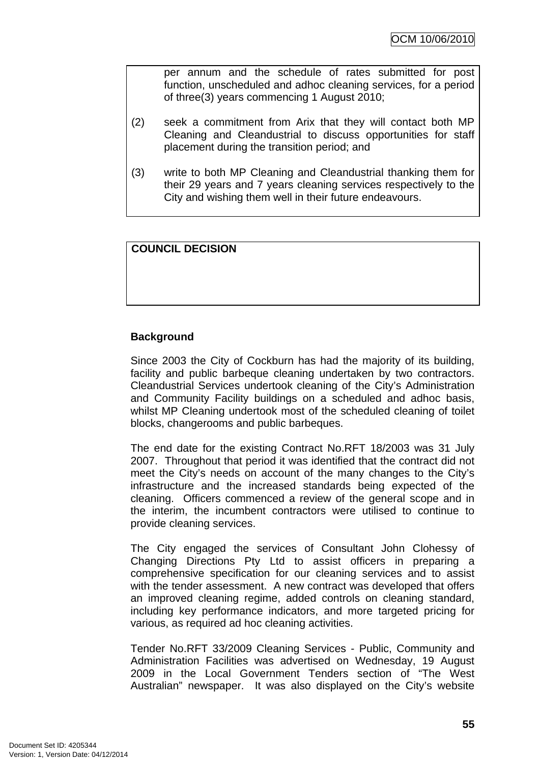per annum and the schedule of rates submitted for post function, unscheduled and adhoc cleaning services, for a period of three(3) years commencing 1 August 2010;

- (2) seek a commitment from Arix that they will contact both MP Cleaning and Cleandustrial to discuss opportunities for staff placement during the transition period; and
- (3) write to both MP Cleaning and Cleandustrial thanking them for their 29 years and 7 years cleaning services respectively to the City and wishing them well in their future endeavours.

## **COUNCIL DECISION**

## **Background**

Since 2003 the City of Cockburn has had the majority of its building, facility and public barbeque cleaning undertaken by two contractors. Cleandustrial Services undertook cleaning of the City's Administration and Community Facility buildings on a scheduled and adhoc basis, whilst MP Cleaning undertook most of the scheduled cleaning of toilet blocks, changerooms and public barbeques.

The end date for the existing Contract No.RFT 18/2003 was 31 July 2007. Throughout that period it was identified that the contract did not meet the City's needs on account of the many changes to the City's infrastructure and the increased standards being expected of the cleaning. Officers commenced a review of the general scope and in the interim, the incumbent contractors were utilised to continue to provide cleaning services.

The City engaged the services of Consultant John Clohessy of Changing Directions Pty Ltd to assist officers in preparing a comprehensive specification for our cleaning services and to assist with the tender assessment. A new contract was developed that offers an improved cleaning regime, added controls on cleaning standard, including key performance indicators, and more targeted pricing for various, as required ad hoc cleaning activities.

Tender No.RFT 33/2009 Cleaning Services - Public, Community and Administration Facilities was advertised on Wednesday, 19 August 2009 in the Local Government Tenders section of "The West Australian" newspaper. It was also displayed on the City's website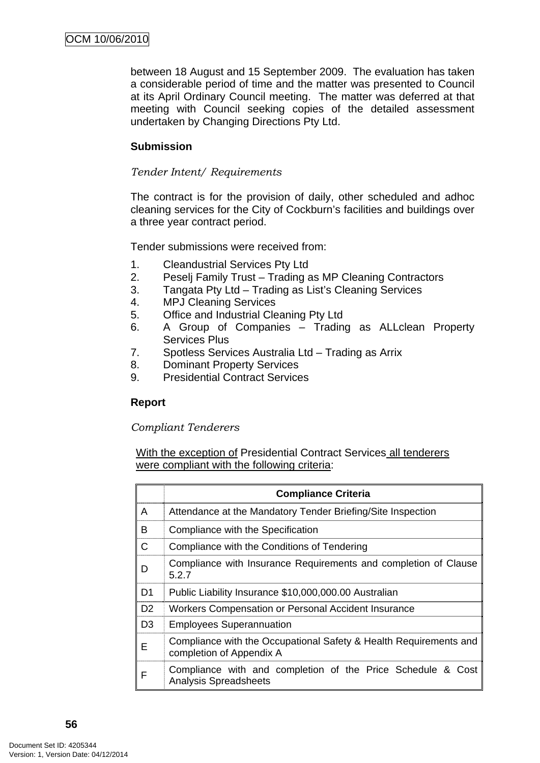between 18 August and 15 September 2009. The evaluation has taken a considerable period of time and the matter was presented to Council at its April Ordinary Council meeting. The matter was deferred at that meeting with Council seeking copies of the detailed assessment undertaken by Changing Directions Pty Ltd.

## **Submission**

#### *Tender Intent/ Requirements*

The contract is for the provision of daily, other scheduled and adhoc cleaning services for the City of Cockburn's facilities and buildings over a three year contract period.

Tender submissions were received from:

- 1. Cleandustrial Services Pty Ltd
- 2. Peselj Family Trust Trading as MP Cleaning Contractors
- 3. Tangata Pty Ltd Trading as List's Cleaning Services
- 4. MPJ Cleaning Services
- 5. Office and Industrial Cleaning Pty Ltd
- 6. A Group of Companies Trading as ALLclean Property Services Plus
- 7. Spotless Services Australia Ltd Trading as Arrix
- 8. Dominant Property Services
- 9. Presidential Contract Services

## **Report**

#### *Compliant Tenderers*

With the exception of Presidential Contract Services all tenderers were compliant with the following criteria:

|                | <b>Compliance Criteria</b>                                                                    |
|----------------|-----------------------------------------------------------------------------------------------|
| A              | Attendance at the Mandatory Tender Briefing/Site Inspection                                   |
| B              | Compliance with the Specification                                                             |
| С              | Compliance with the Conditions of Tendering                                                   |
| D              | Compliance with Insurance Requirements and completion of Clause<br>5.2.7                      |
| D <sub>1</sub> | Public Liability Insurance \$10,000,000.00 Australian                                         |
| D <sub>2</sub> | Workers Compensation or Personal Accident Insurance                                           |
| D <sub>3</sub> | <b>Employees Superannuation</b>                                                               |
| Е              | Compliance with the Occupational Safety & Health Requirements and<br>completion of Appendix A |
| F              | Compliance with and completion of the Price Schedule & Cost<br><b>Analysis Spreadsheets</b>   |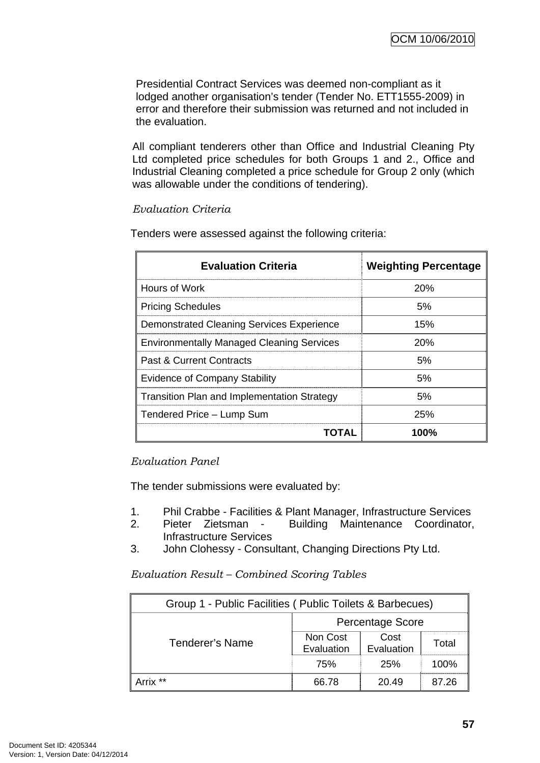Presidential Contract Services was deemed non-compliant as it lodged another organisation's tender (Tender No. ETT1555-2009) in error and therefore their submission was returned and not included in the evaluation.

All compliant tenderers other than Office and Industrial Cleaning Pty Ltd completed price schedules for both Groups 1 and 2., Office and Industrial Cleaning completed a price schedule for Group 2 only (which was allowable under the conditions of tendering).

## *Evaluation Criteria*

| <b>Evaluation Criteria</b>                         | <b>Weighting Percentage</b> |
|----------------------------------------------------|-----------------------------|
| Hours of Work                                      | 20%                         |
| <b>Pricing Schedules</b>                           | 5%                          |
| <b>Demonstrated Cleaning Services Experience</b>   | 15%                         |
| <b>Environmentally Managed Cleaning Services</b>   | 20%                         |
| <b>Past &amp; Current Contracts</b>                | 5%                          |
| <b>Evidence of Company Stability</b>               | 5%                          |
| <b>Transition Plan and Implementation Strategy</b> | 5%                          |
| Tendered Price - Lump Sum                          | 25%                         |
| TOTAL                                              | 100%                        |

Tenders were assessed against the following criteria:

## *Evaluation Panel*

The tender submissions were evaluated by:

- 1. Phil Crabbe Facilities & Plant Manager, Infrastructure Services
- 2. Pieter Zietsman Building Maintenance Coordinator, Infrastructure Services
- 3. John Clohessy Consultant, Changing Directions Pty Ltd.

#### *Evaluation Result – Combined Scoring Tables*

| Group 1 - Public Facilities (Public Toilets & Barbecues) |                         |                    |       |  |
|----------------------------------------------------------|-------------------------|--------------------|-------|--|
|                                                          | <b>Percentage Score</b> |                    |       |  |
| <b>Tenderer's Name</b>                                   | Non Cost<br>Evaluation  | Cost<br>Evaluation | Total |  |
|                                                          | 75%                     | 25%                | 100%  |  |
| Arrix **                                                 | 66.78                   | 20.49              | 87.26 |  |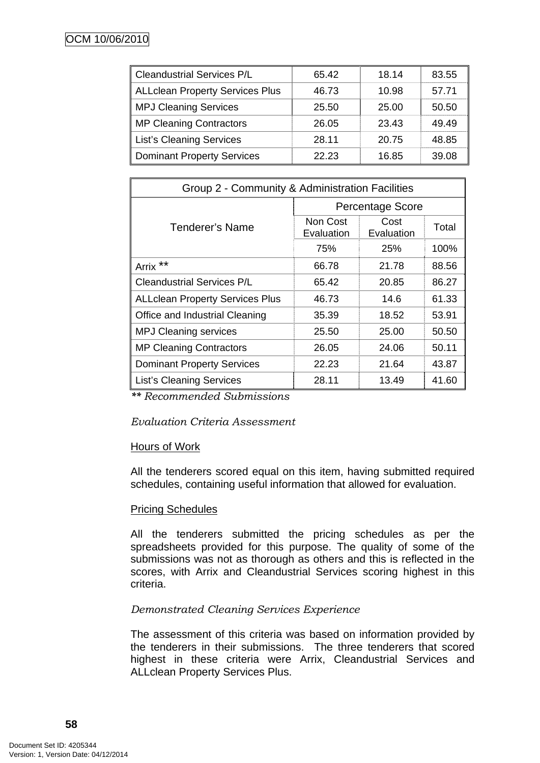| <b>Cleandustrial Services P/L</b>      | 65.42 | 18.14 | 83.55 |
|----------------------------------------|-------|-------|-------|
| <b>ALLclean Property Services Plus</b> | 46.73 | 10.98 | 57.71 |
| <b>MPJ Cleaning Services</b>           | 25.50 | 25.00 | 50.50 |
| <b>MP Cleaning Contractors</b>         | 26.05 | 23.43 | 49.49 |
| <b>List's Cleaning Services</b>        | 28.11 | 20.75 | 48.85 |
| <b>Dominant Property Services</b>      | 22.23 | 16.85 | 39.08 |

| Group 2 - Community & Administration Facilities |                         |                    |       |  |
|-------------------------------------------------|-------------------------|--------------------|-------|--|
|                                                 | <b>Percentage Score</b> |                    |       |  |
| Tenderer's Name                                 | Non Cost<br>Evaluation  | Cost<br>Evaluation | Total |  |
|                                                 | 75%                     | <b>25%</b>         | 100%  |  |
| **<br>Arrix                                     | 66.78                   | 21.78              | 88.56 |  |
| <b>Cleandustrial Services P/L</b>               | 65.42                   | 20.85              | 86.27 |  |
| <b>ALLclean Property Services Plus</b>          | 46.73                   | 14.6               | 61.33 |  |
| Office and Industrial Cleaning                  | 35.39                   | 18.52              | 53.91 |  |
| <b>MPJ Cleaning services</b>                    | 25.50                   | 25.00              | 50.50 |  |
| <b>MP Cleaning Contractors</b>                  | 26.05                   | 24.06              | 50.11 |  |
| <b>Dominant Property Services</b>               | 22.23                   | 21.64              | 43.87 |  |
| <b>List's Cleaning Services</b>                 | 28.11                   | 13.49              | 41.60 |  |

*\*\* Recommended Submissions* 

#### *Evaluation Criteria Assessment*

#### Hours of Work

All the tenderers scored equal on this item, having submitted required schedules, containing useful information that allowed for evaluation.

#### Pricing Schedules

All the tenderers submitted the pricing schedules as per the spreadsheets provided for this purpose. The quality of some of the submissions was not as thorough as others and this is reflected in the scores, with Arrix and Cleandustrial Services scoring highest in this criteria.

#### *Demonstrated Cleaning Services Experience*

The assessment of this criteria was based on information provided by the tenderers in their submissions. The three tenderers that scored highest in these criteria were Arrix, Cleandustrial Services and ALLclean Property Services Plus.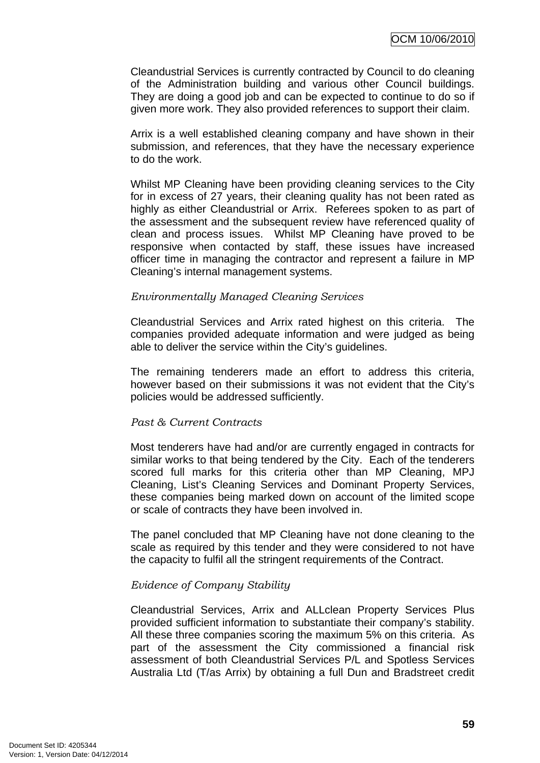Cleandustrial Services is currently contracted by Council to do cleaning of the Administration building and various other Council buildings. They are doing a good job and can be expected to continue to do so if given more work. They also provided references to support their claim.

Arrix is a well established cleaning company and have shown in their submission, and references, that they have the necessary experience to do the work.

Whilst MP Cleaning have been providing cleaning services to the City for in excess of 27 years, their cleaning quality has not been rated as highly as either Cleandustrial or Arrix. Referees spoken to as part of the assessment and the subsequent review have referenced quality of clean and process issues. Whilst MP Cleaning have proved to be responsive when contacted by staff, these issues have increased officer time in managing the contractor and represent a failure in MP Cleaning's internal management systems.

#### *Environmentally Managed Cleaning Services*

Cleandustrial Services and Arrix rated highest on this criteria. The companies provided adequate information and were judged as being able to deliver the service within the City's guidelines.

The remaining tenderers made an effort to address this criteria, however based on their submissions it was not evident that the City's policies would be addressed sufficiently.

#### *Past & Current Contracts*

Most tenderers have had and/or are currently engaged in contracts for similar works to that being tendered by the City. Each of the tenderers scored full marks for this criteria other than MP Cleaning, MPJ Cleaning, List's Cleaning Services and Dominant Property Services, these companies being marked down on account of the limited scope or scale of contracts they have been involved in.

The panel concluded that MP Cleaning have not done cleaning to the scale as required by this tender and they were considered to not have the capacity to fulfil all the stringent requirements of the Contract.

#### *Evidence of Company Stability*

Cleandustrial Services, Arrix and ALLclean Property Services Plus provided sufficient information to substantiate their company's stability. All these three companies scoring the maximum 5% on this criteria. As part of the assessment the City commissioned a financial risk assessment of both Cleandustrial Services P/L and Spotless Services Australia Ltd (T/as Arrix) by obtaining a full Dun and Bradstreet credit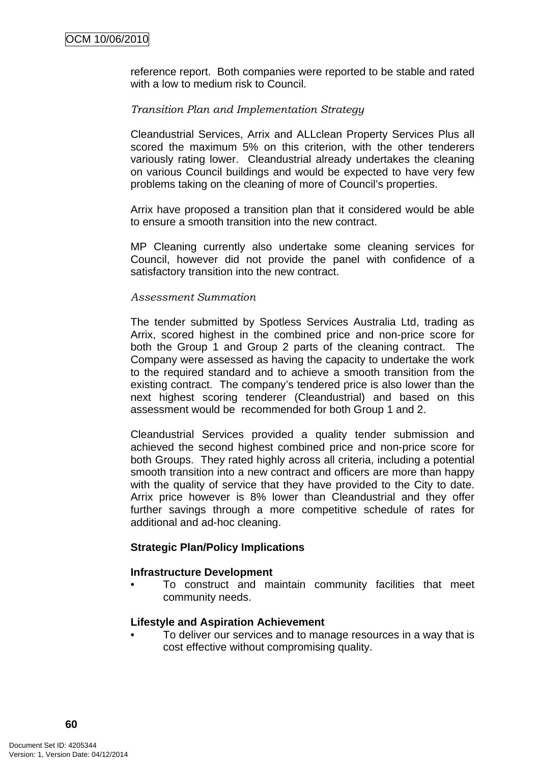reference report. Both companies were reported to be stable and rated with a low to medium risk to Council.

#### *Transition Plan and Implementation Strategy*

Cleandustrial Services, Arrix and ALLclean Property Services Plus all scored the maximum 5% on this criterion, with the other tenderers variously rating lower. Cleandustrial already undertakes the cleaning on various Council buildings and would be expected to have very few problems taking on the cleaning of more of Council's properties.

Arrix have proposed a transition plan that it considered would be able to ensure a smooth transition into the new contract.

MP Cleaning currently also undertake some cleaning services for Council, however did not provide the panel with confidence of a satisfactory transition into the new contract.

#### *Assessment Summation*

The tender submitted by Spotless Services Australia Ltd, trading as Arrix, scored highest in the combined price and non-price score for both the Group 1 and Group 2 parts of the cleaning contract. The Company were assessed as having the capacity to undertake the work to the required standard and to achieve a smooth transition from the existing contract. The company's tendered price is also lower than the next highest scoring tenderer (Cleandustrial) and based on this assessment would be recommended for both Group 1 and 2.

Cleandustrial Services provided a quality tender submission and achieved the second highest combined price and non-price score for both Groups. They rated highly across all criteria, including a potential smooth transition into a new contract and officers are more than happy with the quality of service that they have provided to the City to date. Arrix price however is 8% lower than Cleandustrial and they offer further savings through a more competitive schedule of rates for additional and ad-hoc cleaning.

#### **Strategic Plan/Policy Implications**

#### **Infrastructure Development**

• To construct and maintain community facilities that meet community needs.

#### **Lifestyle and Aspiration Achievement**

• To deliver our services and to manage resources in a way that is cost effective without compromising quality.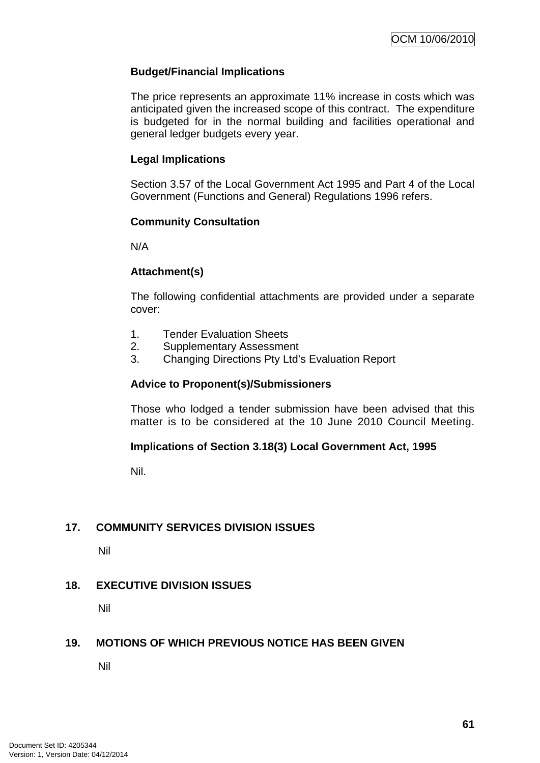## <span id="page-64-0"></span>**Budget/Financial Implications**

The price represents an approximate 11% increase in costs which was anticipated given the increased scope of this contract. The expenditure is budgeted for in the normal building and facilities operational and general ledger budgets every year.

#### **Legal Implications**

Section 3.57 of the Local Government Act 1995 and Part 4 of the Local Government (Functions and General) Regulations 1996 refers.

#### **Community Consultation**

N/A

#### **Attachment(s)**

The following confidential attachments are provided under a separate cover:

- 1. Tender Evaluation Sheets
- 2. Supplementary Assessment
- 3. Changing Directions Pty Ltd's Evaluation Report

#### **Advice to Proponent(s)/Submissioners**

Those who lodged a tender submission have been advised that this matter is to be considered at the 10 June 2010 Council Meeting.

#### **Implications of Section 3.18(3) Local Government Act, 1995**

Nil.

#### **17. COMMUNITY SERVICES DIVISION ISSUES**

Nil

#### **18. EXECUTIVE DIVISION ISSUES**

Nil

#### **19. MOTIONS OF WHICH PREVIOUS NOTICE HAS BEEN GIVEN**

Nil